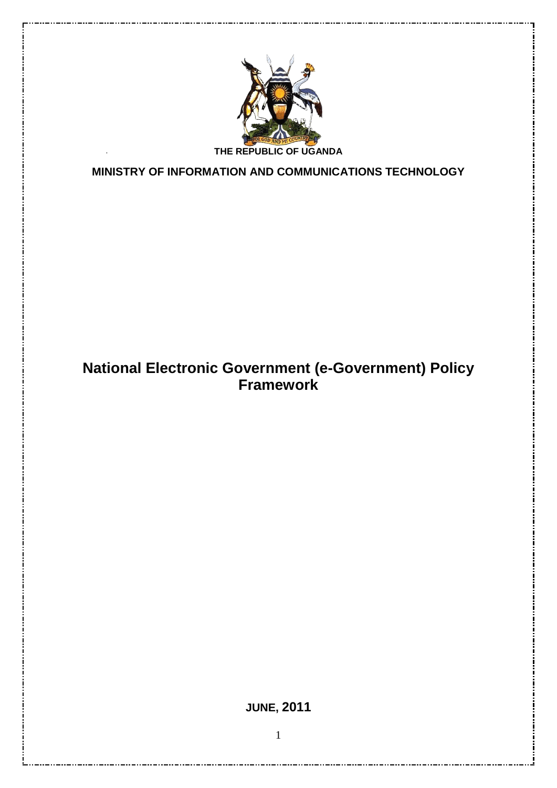

**MINISTRY OF INFORMATION AND COMMUNICATIONS TECHNOLOGY**

# **National Electronic Government (e-Government) Policy Framework**

<span id="page-0-0"></span>**JUNE, 2011**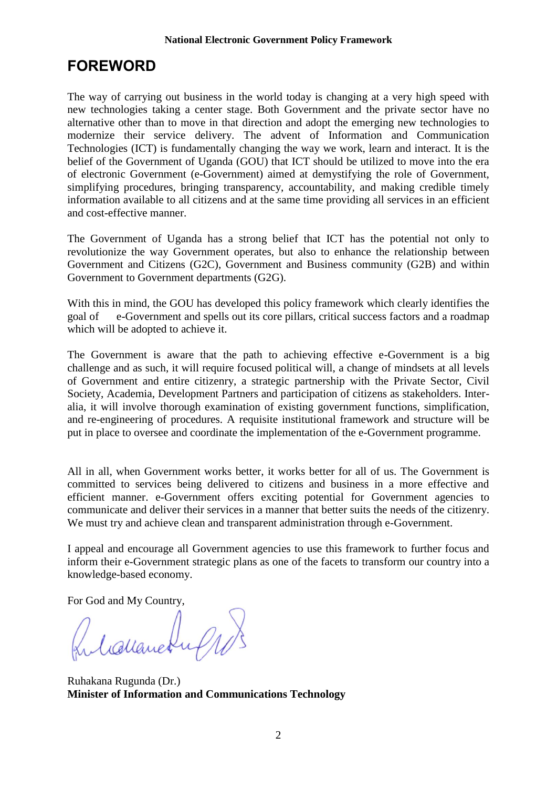# **FOREWORD**

The way of carrying out business in the world today is changing at a very high speed with new technologies taking a center stage. Both Government and the private sector have no alternative other than to move in that direction and adopt the emerging new technologies to modernize their service delivery. The advent of Information and Communication Technologies (ICT) is fundamentally changing the way we work, learn and interact. It is the belief of the Government of Uganda (GOU) that ICT should be utilized to move into the era of electronic Government (e-Government) aimed at demystifying the role of Government, simplifying procedures, bringing transparency, accountability, and making credible timely information available to all citizens and at the same time providing all services in an efficient and cost-effective manner.

The Government of Uganda has a strong belief that ICT has the potential not only to revolutionize the way Government operates, but also to enhance the relationship between Government and Citizens (G2C), Government and Business community (G2B) and within Government to Government departments (G2G).

With this in mind, the GOU has developed this policy framework which clearly identifies the goal of e-Government and spells out its core pillars, critical success factors and a roadmap which will be adopted to achieve it.

The Government is aware that the path to achieving effective e-Government is a big challenge and as such, it will require focused political will, a change of mindsets at all levels of Government and entire citizenry, a strategic partnership with the Private Sector, Civil Society, Academia, Development Partners and participation of citizens as stakeholders. Interalia, it will involve thorough examination of existing government functions, simplification, and re-engineering of procedures. A requisite institutional framework and structure will be put in place to oversee and coordinate the implementation of the e-Government programme.

All in all, when Government works better, it works better for all of us. The Government is committed to services being delivered to citizens and business in a more effective and efficient manner. e-Government offers exciting potential for Government agencies to communicate and deliver their services in a manner that better suits the needs of the citizenry. We must try and achieve clean and transparent administration through e-Government.

I appeal and encourage all Government agencies to use this framework to further focus and inform their e-Government strategic plans as one of the facets to transform our country into a knowledge-based economy.

For God and My Country,

Ruleslanchuf 10)

Ruhakana Rugunda (Dr.) **Minister of Information and Communications Technology**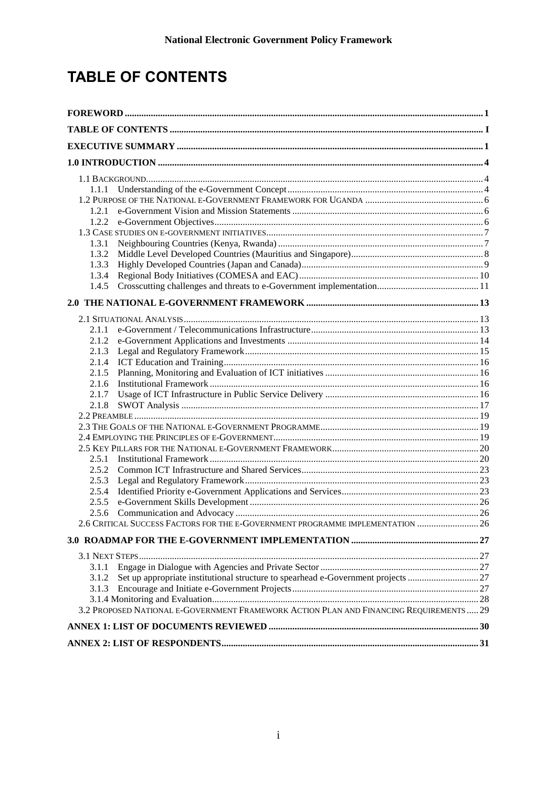# <span id="page-2-0"></span>**TABLE OF CONTENTS**

| 1.2.1 |                                                                                        |  |  |  |  |
|-------|----------------------------------------------------------------------------------------|--|--|--|--|
|       |                                                                                        |  |  |  |  |
|       |                                                                                        |  |  |  |  |
| 1.3.1 |                                                                                        |  |  |  |  |
| 1.3.2 |                                                                                        |  |  |  |  |
| 1.3.3 |                                                                                        |  |  |  |  |
| 1.3.4 |                                                                                        |  |  |  |  |
| 1.4.5 |                                                                                        |  |  |  |  |
|       |                                                                                        |  |  |  |  |
|       |                                                                                        |  |  |  |  |
| 2.1.1 |                                                                                        |  |  |  |  |
| 2.1.2 |                                                                                        |  |  |  |  |
| 2.1.3 |                                                                                        |  |  |  |  |
| 2.1.4 |                                                                                        |  |  |  |  |
| 2.1.5 |                                                                                        |  |  |  |  |
| 2.1.6 |                                                                                        |  |  |  |  |
| 2.1.7 |                                                                                        |  |  |  |  |
| 2.1.8 |                                                                                        |  |  |  |  |
|       |                                                                                        |  |  |  |  |
|       |                                                                                        |  |  |  |  |
|       |                                                                                        |  |  |  |  |
|       |                                                                                        |  |  |  |  |
| 2.5.1 |                                                                                        |  |  |  |  |
| 2.5.3 |                                                                                        |  |  |  |  |
| 2.5.4 |                                                                                        |  |  |  |  |
| 2.5.5 |                                                                                        |  |  |  |  |
| 2.5.6 |                                                                                        |  |  |  |  |
|       | 2.6 CRITICAL SUCCESS FACTORS FOR THE E-GOVERNMENT PROGRAMME IMPLEMENTATION  26         |  |  |  |  |
|       |                                                                                        |  |  |  |  |
|       |                                                                                        |  |  |  |  |
|       |                                                                                        |  |  |  |  |
| 3.1.1 |                                                                                        |  |  |  |  |
| 3.1.2 |                                                                                        |  |  |  |  |
| 3.1.3 |                                                                                        |  |  |  |  |
|       |                                                                                        |  |  |  |  |
|       | 3.2 PROPOSED NATIONAL E-GOVERNMENT FRAMEWORK ACTION PLAN AND FINANCING REQUIREMENTS 29 |  |  |  |  |
|       |                                                                                        |  |  |  |  |
|       |                                                                                        |  |  |  |  |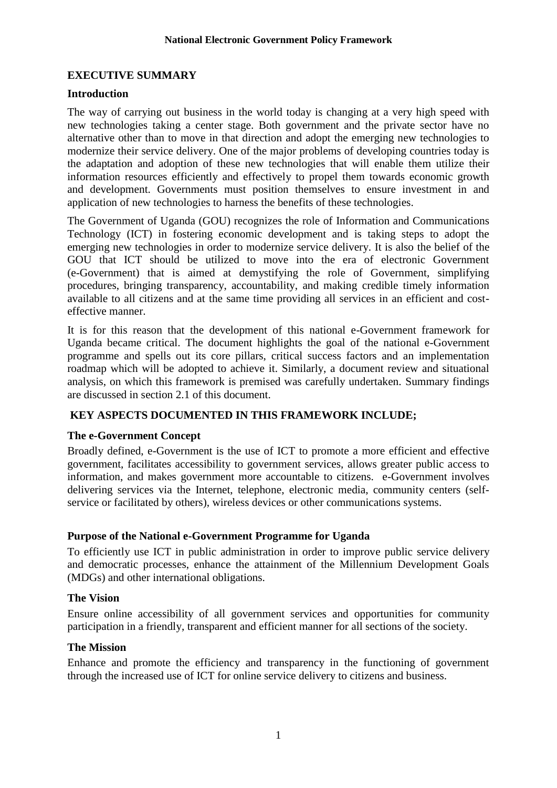# <span id="page-3-0"></span>**EXECUTIVE SUMMARY**

#### **Introduction**

The way of carrying out business in the world today is changing at a very high speed with new technologies taking a center stage. Both government and the private sector have no alternative other than to move in that direction and adopt the emerging new technologies to modernize their service delivery. One of the major problems of developing countries today is the adaptation and adoption of these new technologies that will enable them utilize their information resources efficiently and effectively to propel them towards economic growth and development. Governments must position themselves to ensure investment in and application of new technologies to harness the benefits of these technologies.

The Government of Uganda (GOU) recognizes the role of Information and Communications Technology (ICT) in fostering economic development and is taking steps to adopt the emerging new technologies in order to modernize service delivery. It is also the belief of the GOU that ICT should be utilized to move into the era of electronic Government (e-Government) that is aimed at demystifying the role of Government, simplifying procedures, bringing transparency, accountability, and making credible timely information available to all citizens and at the same time providing all services in an efficient and costeffective manner.

It is for this reason that the development of this national e-Government framework for Uganda became critical. The document highlights the goal of the national e-Government programme and spells out its core pillars, critical success factors and an implementation roadmap which will be adopted to achieve it. Similarly, a document review and situational analysis, on which this framework is premised was carefully undertaken. Summary findings are discussed in section 2.1 of this document.

# **KEY ASPECTS DOCUMENTED IN THIS FRAMEWORK INCLUDE;**

#### **The e-Government Concept**

Broadly defined, e-Government is the use of ICT to promote a more efficient and effective government, facilitates accessibility to government services, allows greater public access to information, and makes government more accountable to citizens. e-Government involves delivering services via the Internet, telephone, electronic media, community centers (selfservice or facilitated by others), wireless devices or other communications systems.

# **Purpose of the National e-Government Programme for Uganda**

To efficiently use ICT in public administration in order to improve public service delivery and democratic processes, enhance the attainment of the Millennium Development Goals (MDGs) and other international obligations.

# **The Vision**

Ensure online accessibility of all government services and opportunities for community participation in a friendly, transparent and efficient manner for all sections of the society.

#### **The Mission**

Enhance and promote the efficiency and transparency in the functioning of government through the increased use of ICT for online service delivery to citizens and business.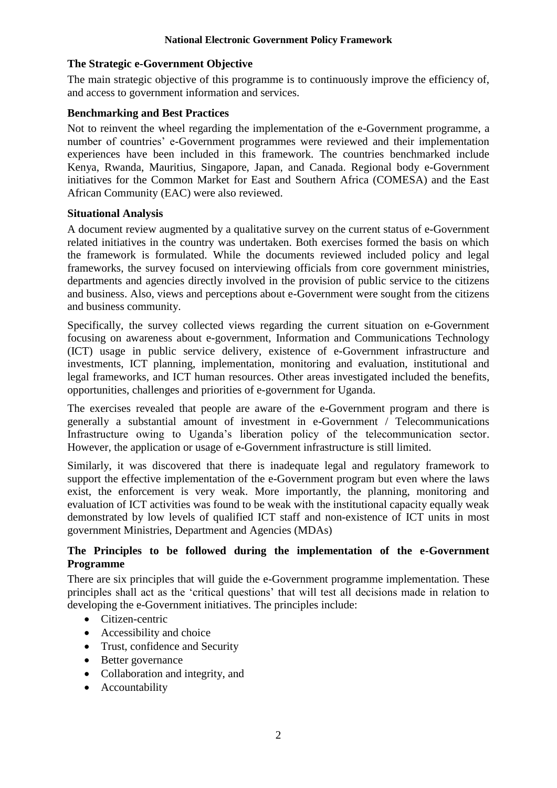#### **The Strategic e-Government Objective**

The main strategic objective of this programme is to continuously improve the efficiency of, and access to government information and services.

#### **Benchmarking and Best Practices**

Not to reinvent the wheel regarding the implementation of the e-Government programme, a number of countries' e-Government programmes were reviewed and their implementation experiences have been included in this framework. The countries benchmarked include Kenya, Rwanda, Mauritius, Singapore, Japan, and Canada. Regional body e-Government initiatives for the Common Market for East and Southern Africa (COMESA) and the East African Community (EAC) were also reviewed.

#### **Situational Analysis**

A document review augmented by a qualitative survey on the current status of e-Government related initiatives in the country was undertaken. Both exercises formed the basis on which the framework is formulated. While the documents reviewed included policy and legal frameworks, the survey focused on interviewing officials from core government ministries, departments and agencies directly involved in the provision of public service to the citizens and business. Also, views and perceptions about e-Government were sought from the citizens and business community.

Specifically, the survey collected views regarding the current situation on e-Government focusing on awareness about e-government, Information and Communications Technology (ICT) usage in public service delivery, existence of e-Government infrastructure and investments, ICT planning, implementation, monitoring and evaluation, institutional and legal frameworks, and ICT human resources. Other areas investigated included the benefits, opportunities, challenges and priorities of e-government for Uganda.

The exercises revealed that people are aware of the e-Government program and there is generally a substantial amount of investment in e-Government / Telecommunications Infrastructure owing to Uganda's liberation policy of the telecommunication sector. However, the application or usage of e-Government infrastructure is still limited.

Similarly, it was discovered that there is inadequate legal and regulatory framework to support the effective implementation of the e-Government program but even where the laws exist, the enforcement is very weak. More importantly, the planning, monitoring and evaluation of ICT activities was found to be weak with the institutional capacity equally weak demonstrated by low levels of qualified ICT staff and non-existence of ICT units in most government Ministries, Department and Agencies (MDAs)

# **The Principles to be followed during the implementation of the e-Government Programme**

There are six principles that will guide the e-Government programme implementation. These principles shall act as the 'critical questions' that will test all decisions made in relation to developing the e-Government initiatives. The principles include:

- Citizen-centric
- Accessibility and choice
- Trust, confidence and Security
- Better governance
- Collaboration and integrity, and
- Accountability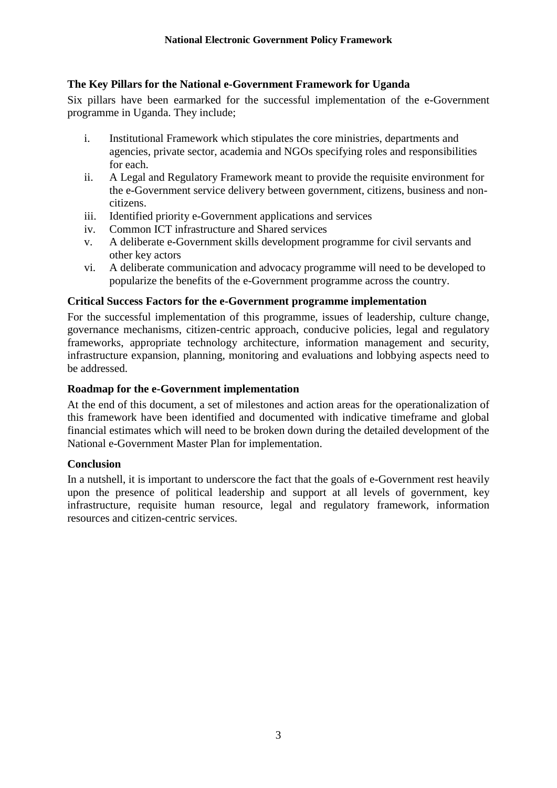#### **The Key Pillars for the National e-Government Framework for Uganda**

Six pillars have been earmarked for the successful implementation of the e-Government programme in Uganda. They include;

- i. Institutional Framework which stipulates the core ministries, departments and agencies, private sector, academia and NGOs specifying roles and responsibilities for each.
- ii. A Legal and Regulatory Framework meant to provide the requisite environment for the e-Government service delivery between government, citizens, business and noncitizens.
- iii. Identified priority e-Government applications and services
- iv. Common ICT infrastructure and Shared services
- v. A deliberate e-Government skills development programme for civil servants and other key actors
- vi. A deliberate communication and advocacy programme will need to be developed to popularize the benefits of the e-Government programme across the country.

#### **Critical Success Factors for the e-Government programme implementation**

For the successful implementation of this programme, issues of leadership, culture change, governance mechanisms, citizen-centric approach, conducive policies, legal and regulatory frameworks, appropriate technology architecture, information management and security, infrastructure expansion, planning, monitoring and evaluations and lobbying aspects need to be addressed.

#### **Roadmap for the e-Government implementation**

At the end of this document, a set of milestones and action areas for the operationalization of this framework have been identified and documented with indicative timeframe and global financial estimates which will need to be broken down during the detailed development of the National e-Government Master Plan for implementation.

#### **Conclusion**

In a nutshell, it is important to underscore the fact that the goals of e-Government rest heavily upon the presence of political leadership and support at all levels of government, key infrastructure, requisite human resource, legal and regulatory framework, information resources and citizen-centric services.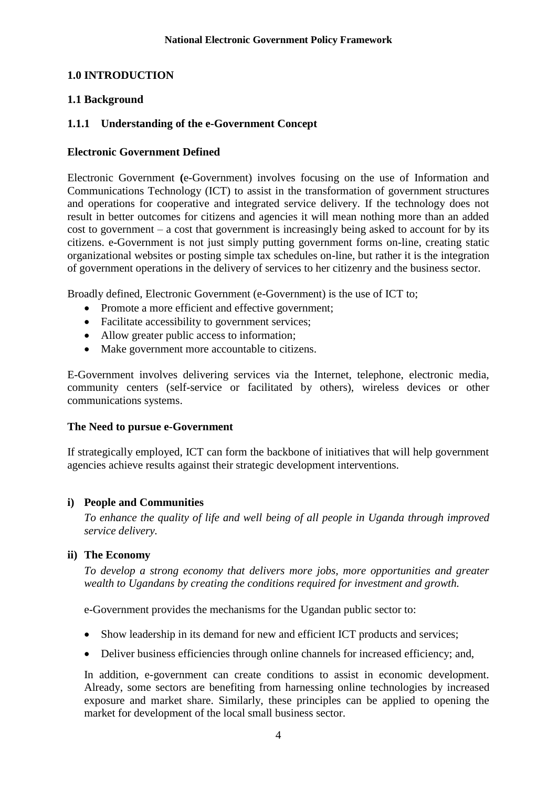#### <span id="page-6-0"></span>**1.0 INTRODUCTION**

# <span id="page-6-1"></span>**1.1 Background**

# <span id="page-6-2"></span>**1.1.1 Understanding of the e-Government Concept**

#### **Electronic Government Defined**

Electronic Government **(**e-Government) involves focusing on the use of Information and Communications Technology (ICT) to assist in the transformation of government structures and operations for cooperative and integrated service delivery. If the technology does not result in better outcomes for citizens and agencies it will mean nothing more than an added cost to government – a cost that government is increasingly being asked to account for by its citizens. e-Government is not just simply putting government forms on-line, creating static organizational websites or posting simple tax schedules on-line, but rather it is the integration of government operations in the delivery of services to her citizenry and the business sector.

Broadly defined, Electronic Government (e-Government) is the use of ICT to;

- Promote a more efficient and effective government;
- Facilitate accessibility to government services;
- Allow greater public access to information;
- Make government more accountable to citizens.

E-Government involves delivering services via the Internet, telephone, electronic media, community centers (self-service or facilitated by others), wireless devices or other communications systems.

#### **The Need to pursue e-Government**

If strategically employed, ICT can form the backbone of initiatives that will help government agencies achieve results against their strategic development interventions.

# **i) People and Communities**

*To enhance the quality of life and well being of all people in Uganda through improved service delivery.*

#### **ii) The Economy**

*To develop a strong economy that delivers more jobs, more opportunities and greater wealth to Ugandans by creating the conditions required for investment and growth.*

e-Government provides the mechanisms for the Ugandan public sector to:

- Show leadership in its demand for new and efficient ICT products and services;
- Deliver business efficiencies through online channels for increased efficiency; and,

In addition, e-government can create conditions to assist in economic development. Already, some sectors are benefiting from harnessing online technologies by increased exposure and market share. Similarly, these principles can be applied to opening the market for development of the local small business sector.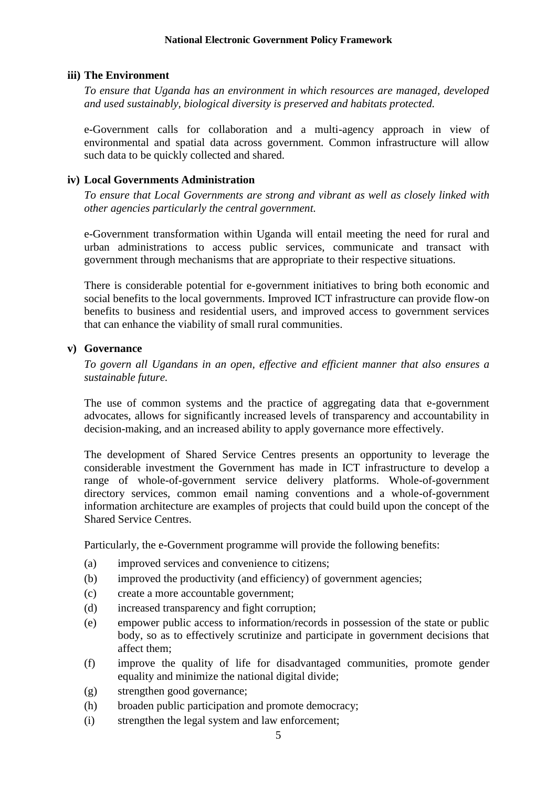#### **iii) The Environment**

*To ensure that Uganda has an environment in which resources are managed, developed and used sustainably, biological diversity is preserved and habitats protected.*

e-Government calls for collaboration and a multi-agency approach in view of environmental and spatial data across government. Common infrastructure will allow such data to be quickly collected and shared.

#### **iv) Local Governments Administration**

*To ensure that Local Governments are strong and vibrant as well as closely linked with other agencies particularly the central government.*

e-Government transformation within Uganda will entail meeting the need for rural and urban administrations to access public services, communicate and transact with government through mechanisms that are appropriate to their respective situations.

There is considerable potential for e-government initiatives to bring both economic and social benefits to the local governments. Improved ICT infrastructure can provide flow-on benefits to business and residential users, and improved access to government services that can enhance the viability of small rural communities.

#### **v) Governance**

*To govern all Ugandans in an open, effective and efficient manner that also ensures a sustainable future.*

The use of common systems and the practice of aggregating data that e-government advocates, allows for significantly increased levels of transparency and accountability in decision-making, and an increased ability to apply governance more effectively.

The development of Shared Service Centres presents an opportunity to leverage the considerable investment the Government has made in ICT infrastructure to develop a range of whole-of-government service delivery platforms. Whole-of-government directory services, common email naming conventions and a whole-of-government information architecture are examples of projects that could build upon the concept of the Shared Service Centres.

Particularly, the e-Government programme will provide the following benefits:

- (a) improved services and convenience to citizens;
- (b) improved the productivity (and efficiency) of government agencies;
- (c) create a more accountable government;
- (d) increased transparency and fight corruption;
- (e) empower public access to information/records in possession of the state or public body, so as to effectively scrutinize and participate in government decisions that affect them;
- (f) improve the quality of life for disadvantaged communities, promote gender equality and minimize the national digital divide;
- (g) strengthen good governance;
- (h) broaden public participation and promote democracy;
- (i) strengthen the legal system and law enforcement;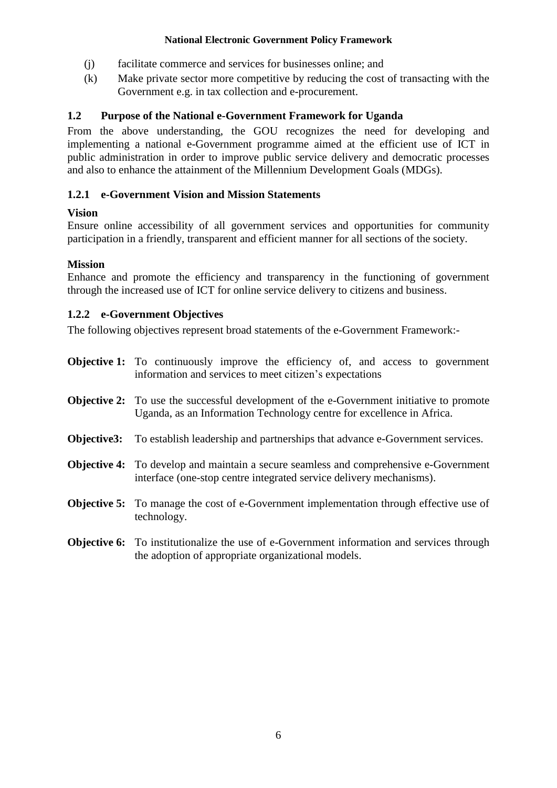- (j) facilitate commerce and services for businesses online; and
- (k) Make private sector more competitive by reducing the cost of transacting with the Government e.g. in tax collection and e-procurement.

# <span id="page-8-0"></span>**1.2 Purpose of the National e-Government Framework for Uganda**

From the above understanding, the GOU recognizes the need for developing and implementing a national e-Government programme aimed at the efficient use of ICT in public administration in order to improve public service delivery and democratic processes and also to enhance the attainment of the Millennium Development Goals (MDGs).

# <span id="page-8-1"></span>**1.2.1 e-Government Vision and Mission Statements**

# **Vision**

Ensure online accessibility of all government services and opportunities for community participation in a friendly, transparent and efficient manner for all sections of the society.

# **Mission**

Enhance and promote the efficiency and transparency in the functioning of government through the increased use of ICT for online service delivery to citizens and business.

# <span id="page-8-2"></span>**1.2.2 e-Government Objectives**

The following objectives represent broad statements of the e-Government Framework:-

- **Objective 1:** To continuously improve the efficiency of, and access to government information and services to meet citizen's expectations
- **Objective 2:** To use the successful development of the e-Government initiative to promote Uganda, as an Information Technology centre for excellence in Africa.
- **Objective3:** To establish leadership and partnerships that advance e-Government services.
- **Objective 4:** To develop and maintain a secure seamless and comprehensive e-Government interface (one-stop centre integrated service delivery mechanisms).
- **Objective 5:** To manage the cost of e-Government implementation through effective use of technology.
- **Objective 6:** To institutionalize the use of e-Government information and services through the adoption of appropriate organizational models.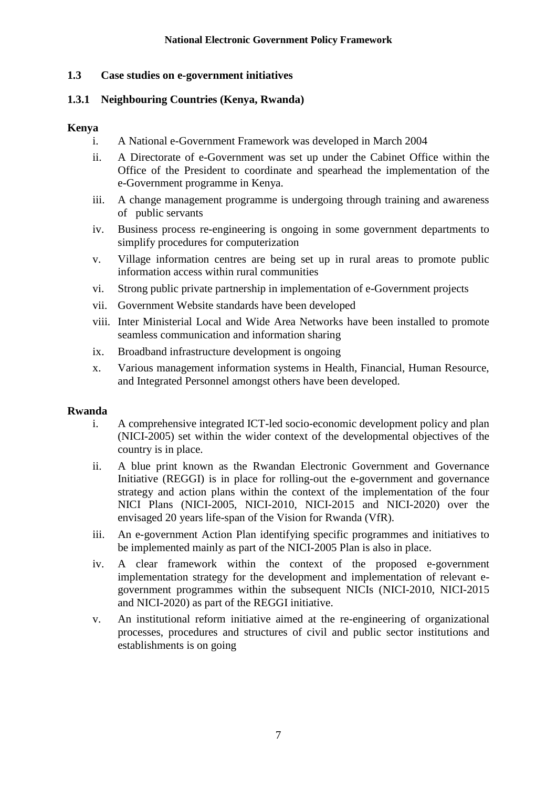#### <span id="page-9-0"></span>**1.3 Case studies on e-government initiatives**

#### <span id="page-9-1"></span>**1.3.1 Neighbouring Countries (Kenya, Rwanda)**

#### **Kenya**

- i. A National e-Government Framework was developed in March 2004
- ii. A Directorate of e-Government was set up under the Cabinet Office within the Office of the President to coordinate and spearhead the implementation of the e-Government programme in Kenya.
- iii. A change management programme is undergoing through training and awareness of public servants
- iv. Business process re-engineering is ongoing in some government departments to simplify procedures for computerization
- v. Village information centres are being set up in rural areas to promote public information access within rural communities
- vi. Strong public private partnership in implementation of e-Government projects
- vii. Government Website standards have been developed
- viii. Inter Ministerial Local and Wide Area Networks have been installed to promote seamless communication and information sharing
- ix. Broadband infrastructure development is ongoing
- x. Various management information systems in Health, Financial, Human Resource, and Integrated Personnel amongst others have been developed.

#### **Rwanda**

- i. A comprehensive integrated ICT-led socio-economic development policy and plan (NICI-2005) set within the wider context of the developmental objectives of the country is in place.
- ii. A blue print known as the Rwandan Electronic Government and Governance Initiative (REGGI) is in place for rolling-out the e-government and governance strategy and action plans within the context of the implementation of the four NICI Plans (NICI-2005, NICI-2010, NICI-2015 and NICI-2020) over the envisaged 20 years life-span of the Vision for Rwanda (VfR).
- iii. An e-government Action Plan identifying specific programmes and initiatives to be implemented mainly as part of the NICI-2005 Plan is also in place.
- iv. A clear framework within the context of the proposed e-government implementation strategy for the development and implementation of relevant egovernment programmes within the subsequent NICIs (NICI-2010, NICI-2015 and NICI-2020) as part of the REGGI initiative.
- v. An institutional reform initiative aimed at the re-engineering of organizational processes, procedures and structures of civil and public sector institutions and establishments is on going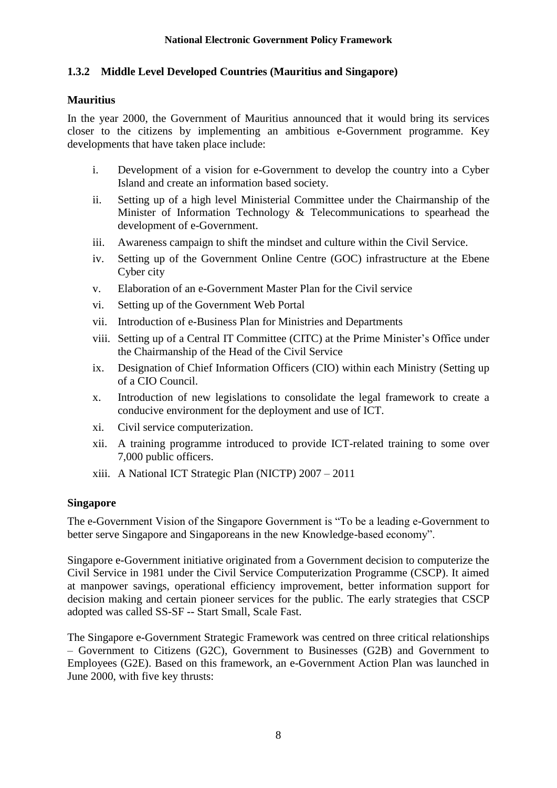# <span id="page-10-0"></span>**1.3.2 Middle Level Developed Countries (Mauritius and Singapore)**

#### **Mauritius**

In the year 2000, the Government of Mauritius announced that it would bring its services closer to the citizens by implementing an ambitious e-Government programme. Key developments that have taken place include:

- i. Development of a vision for e-Government to develop the country into a Cyber Island and create an information based society.
- ii. Setting up of a high level Ministerial Committee under the Chairmanship of the Minister of Information Technology & Telecommunications to spearhead the development of e-Government.
- iii. Awareness campaign to shift the mindset and culture within the Civil Service.
- iv. Setting up of the Government Online Centre (GOC) infrastructure at the Ebene Cyber city
- v. Elaboration of an e-Government Master Plan for the Civil service
- vi. Setting up of the Government Web Portal
- vii. Introduction of e-Business Plan for Ministries and Departments
- viii. Setting up of a Central IT Committee (CITC) at the Prime Minister's Office under the Chairmanship of the Head of the Civil Service
- ix. Designation of Chief Information Officers (CIO) within each Ministry (Setting up of a CIO Council.
- x. Introduction of new legislations to consolidate the legal framework to create a conducive environment for the deployment and use of ICT.
- xi. Civil service computerization.
- xii. A training programme introduced to provide ICT-related training to some over 7,000 public officers.
- xiii. A National ICT Strategic Plan (NICTP) 2007 2011

# **Singapore**

The e-Government Vision of the Singapore Government is "To be a leading e-Government to better serve Singapore and Singaporeans in the new Knowledge-based economy".

Singapore e-Government initiative originated from a Government decision to computerize the Civil Service in 1981 under the Civil Service Computerization Programme (CSCP). It aimed at manpower savings, operational efficiency improvement, better information support for decision making and certain pioneer services for the public. The early strategies that CSCP adopted was called SS-SF -- Start Small, Scale Fast.

The Singapore e-Government Strategic Framework was centred on three critical relationships – Government to Citizens (G2C), Government to Businesses (G2B) and Government to Employees (G2E). Based on this framework, an e-Government Action Plan was launched in June 2000, with five key thrusts: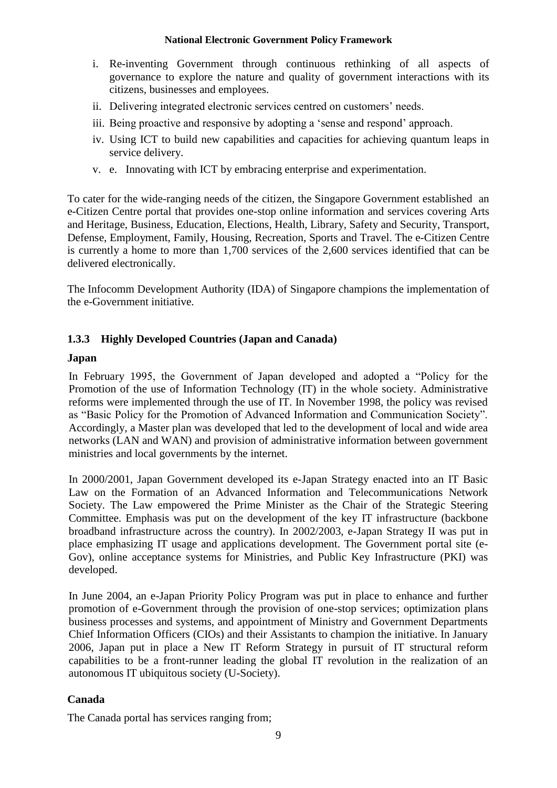- i. Re-inventing Government through continuous rethinking of all aspects of governance to explore the nature and quality of government interactions with its citizens, businesses and employees.
- ii. Delivering integrated electronic services centred on customers' needs.
- iii. Being proactive and responsive by adopting a 'sense and respond' approach.
- iv. Using ICT to build new capabilities and capacities for achieving quantum leaps in service delivery.
- v. e. Innovating with ICT by embracing enterprise and experimentation.

To cater for the wide-ranging needs of the citizen, the Singapore Government established an e-Citizen Centre portal that provides one-stop online information and services covering Arts and Heritage, Business, Education, Elections, Health, Library, Safety and Security, Transport, Defense, Employment, Family, Housing, Recreation, Sports and Travel. The e-Citizen Centre is currently a home to more than 1,700 services of the 2,600 services identified that can be delivered electronically.

The Infocomm Development Authority (IDA) of Singapore champions the implementation of the e-Government initiative.

# <span id="page-11-0"></span>**1.3.3 Highly Developed Countries (Japan and Canada)**

#### **Japan**

In February 1995, the Government of Japan developed and adopted a "Policy for the Promotion of the use of Information Technology (IT) in the whole society. Administrative reforms were implemented through the use of IT. In November 1998, the policy was revised as "Basic Policy for the Promotion of Advanced Information and Communication Society". Accordingly, a Master plan was developed that led to the development of local and wide area networks (LAN and WAN) and provision of administrative information between government ministries and local governments by the internet.

In 2000/2001, Japan Government developed its e-Japan Strategy enacted into an IT Basic Law on the Formation of an Advanced Information and Telecommunications Network Society. The Law empowered the Prime Minister as the Chair of the Strategic Steering Committee. Emphasis was put on the development of the key IT infrastructure (backbone broadband infrastructure across the country). In 2002/2003, e-Japan Strategy II was put in place emphasizing IT usage and applications development. The Government portal site (e-Gov), online acceptance systems for Ministries, and Public Key Infrastructure (PKI) was developed.

In June 2004, an e-Japan Priority Policy Program was put in place to enhance and further promotion of e-Government through the provision of one-stop services; optimization plans business processes and systems, and appointment of Ministry and Government Departments Chief Information Officers (CIOs) and their Assistants to champion the initiative. In January 2006, Japan put in place a New IT Reform Strategy in pursuit of IT structural reform capabilities to be a front-runner leading the global IT revolution in the realization of an autonomous IT ubiquitous society (U-Society).

# **Canada**

The Canada portal has services ranging from;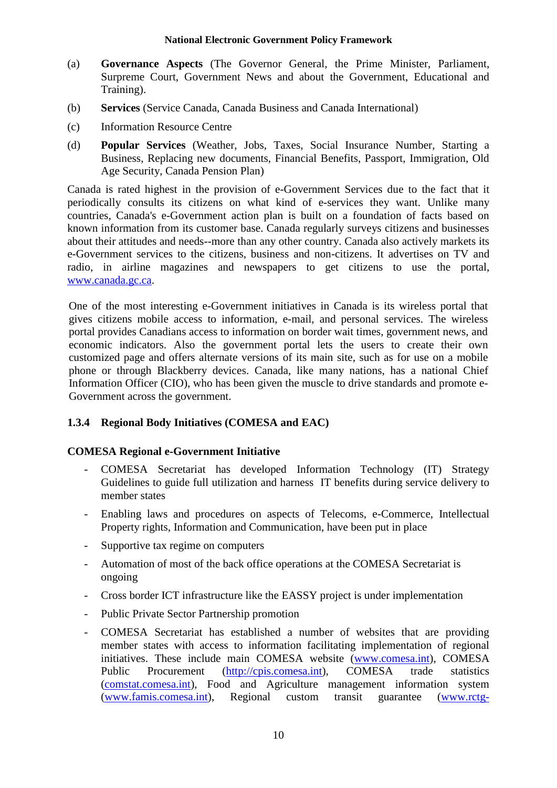- (a) **Governance Aspects** (The Governor General, the Prime Minister, Parliament, Surpreme Court, Government News and about the Government, Educational and Training).
- (b) **Services** (Service Canada, Canada Business and Canada International)
- (c) Information Resource Centre
- (d) **Popular Services** (Weather, Jobs, Taxes, Social Insurance Number, Starting a Business, Replacing new documents, Financial Benefits, Passport, Immigration, Old Age Security, Canada Pension Plan)

Canada is rated highest in the provision of e-Government Services due to the fact that it periodically consults its citizens on what kind of e-services they want. Unlike many countries, Canada's e-Government action plan is built on a foundation of facts based on known information from its customer base. Canada regularly surveys citizens and businesses about their attitudes and needs--more than any other country. Canada also actively markets its e-Government services to the citizens, business and non-citizens. It advertises on TV and radio, in airline magazines and newspapers to get citizens to use the portal, [www.canada.gc.ca.](http://www.canada.gc.ca/)

One of the most interesting e-Government initiatives in Canada is its wireless portal that gives citizens mobile access to information, e-mail, and personal services. The wireless portal provides Canadians access to information on border wait times, government news, and economic indicators. Also the government portal lets the users to create their own customized page and offers alternate versions of its main site, such as for use on a mobile phone or through Blackberry devices. Canada, like many nations, has a national Chief Information Officer (CIO), who has been given the muscle to drive standards and promote e-Government across the government.

# <span id="page-12-0"></span>**1.3.4 Regional Body Initiatives (COMESA and EAC)**

# **COMESA Regional e-Government Initiative**

- COMESA Secretariat has developed Information Technology (IT) Strategy Guidelines to guide full utilization and harness IT benefits during service delivery to member states
- Enabling laws and procedures on aspects of Telecoms, e-Commerce, Intellectual Property rights, Information and Communication, have been put in place
- Supportive tax regime on computers
- Automation of most of the back office operations at the COMESA Secretariat is ongoing
- Cross border ICT infrastructure like the EASSY project is under implementation
- Public Private Sector Partnership promotion
- COMESA Secretariat has established a number of websites that are providing member states with access to information facilitating implementation of regional initiatives. These include main COMESA website [\(www.comesa.int\)](http://www.comesa.int/), COMESA Public Procurement [\(http://cpis.comesa.int\)](http://cpis.comesa.int/), COMESA trade statistics (comstat.comesa.int), Food and Agriculture management information system [\(www.famis.comesa.int\)](http://www.famis.comesa.int/), Regional custom transit guarantee [\(www.rctg-](http://www.rctg-mis.comesa.int/)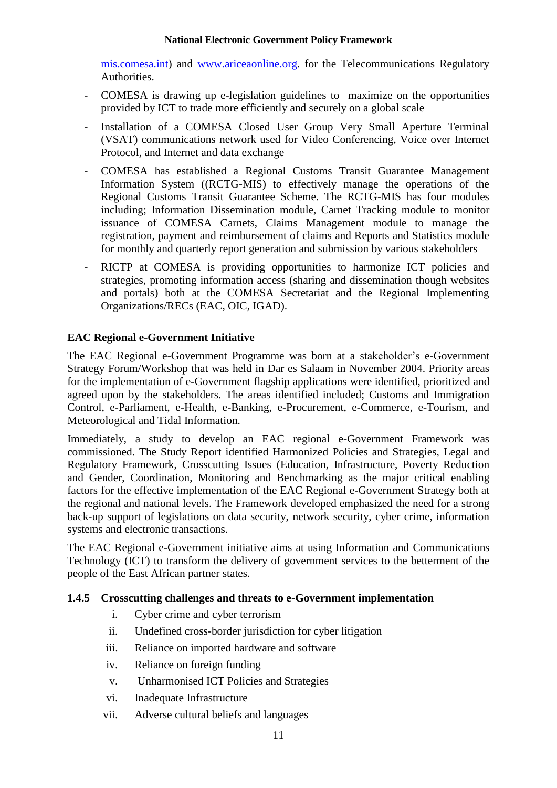[mis.comesa.int\)](http://www.rctg-mis.comesa.int/) and [www.ariceaonline.org.](http://www.ariceaonline.org/) for the Telecommunications Regulatory Authorities.

- COMESA is drawing up e-legislation guidelines to maximize on the opportunities provided by ICT to trade more efficiently and securely on a global scale
- Installation of a COMESA Closed User Group Very Small Aperture Terminal (VSAT) communications network used for Video Conferencing, Voice over Internet Protocol, and Internet and data exchange
- COMESA has established a Regional Customs Transit Guarantee Management Information System ((RCTG-MIS) to effectively manage the operations of the Regional Customs Transit Guarantee Scheme. The RCTG-MIS has four modules including; Information Dissemination module, Carnet Tracking module to monitor issuance of COMESA Carnets, Claims Management module to manage the registration, payment and reimbursement of claims and Reports and Statistics module for monthly and quarterly report generation and submission by various stakeholders
- RICTP at COMESA is providing opportunities to harmonize ICT policies and strategies, promoting information access (sharing and dissemination though websites and portals) both at the COMESA Secretariat and the Regional Implementing Organizations/RECs (EAC, OIC, IGAD).

#### **EAC Regional e-Government Initiative**

The EAC Regional e-Government Programme was born at a stakeholder's e-Government Strategy Forum/Workshop that was held in Dar es Salaam in November 2004. Priority areas for the implementation of e-Government flagship applications were identified, prioritized and agreed upon by the stakeholders. The areas identified included; Customs and Immigration Control, e-Parliament, e-Health, e-Banking, e-Procurement, e-Commerce, e-Tourism, and Meteorological and Tidal Information.

Immediately, a study to develop an EAC regional e-Government Framework was commissioned. The Study Report identified Harmonized Policies and Strategies, Legal and Regulatory Framework, Crosscutting Issues (Education, Infrastructure, Poverty Reduction and Gender, Coordination, Monitoring and Benchmarking as the major critical enabling factors for the effective implementation of the EAC Regional e-Government Strategy both at the regional and national levels. The Framework developed emphasized the need for a strong back-up support of legislations on data security, network security, cyber crime, information systems and electronic transactions.

The EAC Regional e-Government initiative aims at using Information and Communications Technology (ICT) to transform the delivery of government services to the betterment of the people of the East African partner states.

# <span id="page-13-0"></span>**1.4.5 Crosscutting challenges and threats to e-Government implementation**

- i. Cyber crime and cyber terrorism
- ii. Undefined cross-border jurisdiction for cyber litigation
- iii. Reliance on imported hardware and software
- iv. Reliance on foreign funding
- v. Unharmonised ICT Policies and Strategies
- vi. Inadequate Infrastructure
- vii. Adverse cultural beliefs and languages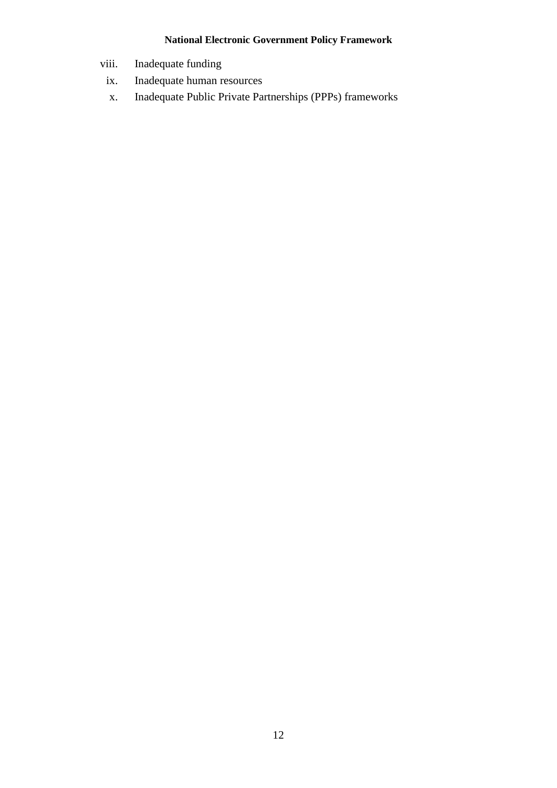- viii. Inadequate funding
	- ix. Inadequate human resources
	- x. Inadequate Public Private Partnerships (PPPs) frameworks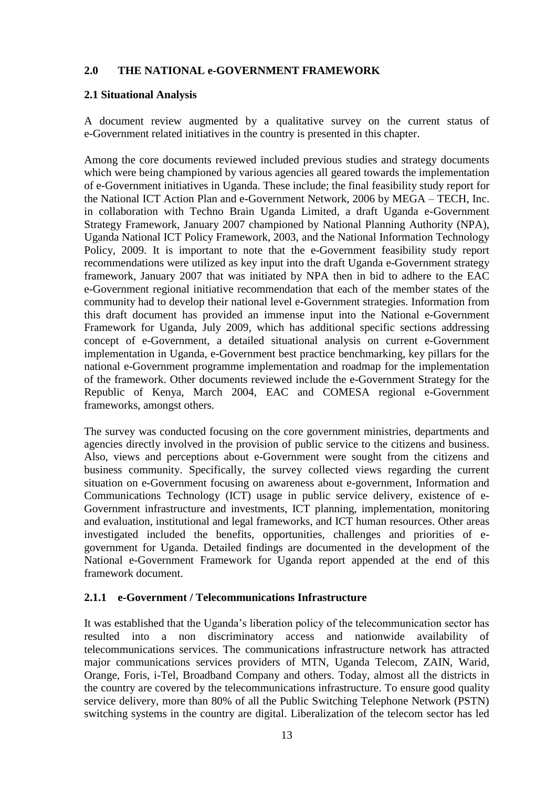# <span id="page-15-0"></span>**2.0 THE NATIONAL e-GOVERNMENT FRAMEWORK**

#### <span id="page-15-1"></span>**2.1 Situational Analysis**

A document review augmented by a qualitative survey on the current status of e-Government related initiatives in the country is presented in this chapter.

Among the core documents reviewed included previous studies and strategy documents which were being championed by various agencies all geared towards the implementation of e-Government initiatives in Uganda. These include; the final feasibility study report for the National ICT Action Plan and e-Government Network, 2006 by MEGA – TECH, Inc. in collaboration with Techno Brain Uganda Limited, a draft Uganda e-Government Strategy Framework, January 2007 championed by National Planning Authority (NPA), Uganda National ICT Policy Framework, 2003, and the National Information Technology Policy, 2009. It is important to note that the e-Government feasibility study report recommendations were utilized as key input into the draft Uganda e-Government strategy framework, January 2007 that was initiated by NPA then in bid to adhere to the EAC e-Government regional initiative recommendation that each of the member states of the community had to develop their national level e-Government strategies. Information from this draft document has provided an immense input into the National e-Government Framework for Uganda, July 2009, which has additional specific sections addressing concept of e-Government, a detailed situational analysis on current e-Government implementation in Uganda, e-Government best practice benchmarking, key pillars for the national e-Government programme implementation and roadmap for the implementation of the framework. Other documents reviewed include the e-Government Strategy for the Republic of Kenya, March 2004, EAC and COMESA regional e-Government frameworks, amongst others.

The survey was conducted focusing on the core government ministries, departments and agencies directly involved in the provision of public service to the citizens and business. Also, views and perceptions about e-Government were sought from the citizens and business community. Specifically, the survey collected views regarding the current situation on e-Government focusing on awareness about e-government, Information and Communications Technology (ICT) usage in public service delivery, existence of e-Government infrastructure and investments, ICT planning, implementation, monitoring and evaluation, institutional and legal frameworks, and ICT human resources. Other areas investigated included the benefits, opportunities, challenges and priorities of egovernment for Uganda. Detailed findings are documented in the development of the National e-Government Framework for Uganda report appended at the end of this framework document.

#### <span id="page-15-2"></span>**2.1.1 e-Government / Telecommunications Infrastructure**

It was established that the Uganda's liberation policy of the telecommunication sector has resulted into a non discriminatory access and nationwide availability of telecommunications services. The communications infrastructure network has attracted major communications services providers of MTN, Uganda Telecom, ZAIN, Warid, Orange, Foris, i-Tel, Broadband Company and others. Today, almost all the districts in the country are covered by the telecommunications infrastructure. To ensure good quality service delivery, more than 80% of all the Public Switching Telephone Network (PSTN) switching systems in the country are digital. Liberalization of the telecom sector has led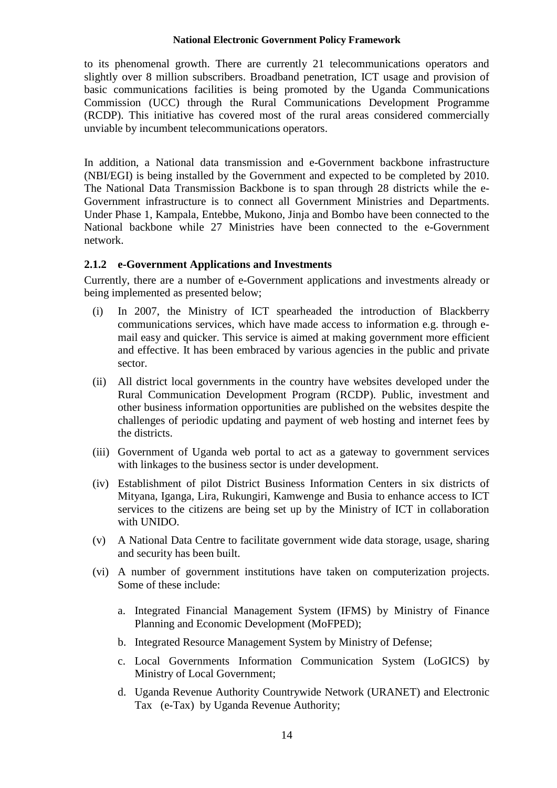to its phenomenal growth. There are currently 21 telecommunications operators and slightly over 8 million subscribers. Broadband penetration, ICT usage and provision of basic communications facilities is being promoted by the Uganda Communications Commission (UCC) through the Rural Communications Development Programme (RCDP). This initiative has covered most of the rural areas considered commercially unviable by incumbent telecommunications operators.

In addition, a National data transmission and e-Government backbone infrastructure (NBI/EGI) is being installed by the Government and expected to be completed by 2010. The National Data Transmission Backbone is to span through 28 districts while the e-Government infrastructure is to connect all Government Ministries and Departments. Under Phase 1, Kampala, Entebbe, Mukono, Jinja and Bombo have been connected to the National backbone while 27 Ministries have been connected to the e-Government network.

#### <span id="page-16-0"></span>**2.1.2 e-Government Applications and Investments**

Currently, there are a number of e-Government applications and investments already or being implemented as presented below;

- (i) In 2007, the Ministry of ICT spearheaded the introduction of Blackberry communications services, which have made access to information e.g. through email easy and quicker. This service is aimed at making government more efficient and effective. It has been embraced by various agencies in the public and private sector.
- (ii) All district local governments in the country have websites developed under the Rural Communication Development Program (RCDP). Public, investment and other business information opportunities are published on the websites despite the challenges of periodic updating and payment of web hosting and internet fees by the districts.
- (iii) Government of Uganda web portal to act as a gateway to government services with linkages to the business sector is under development.
- (iv) Establishment of pilot District Business Information Centers in six districts of Mityana, Iganga, Lira, Rukungiri, Kamwenge and Busia to enhance access to ICT services to the citizens are being set up by the Ministry of ICT in collaboration with UNIDO.
- (v) A National Data Centre to facilitate government wide data storage, usage, sharing and security has been built.
- (vi) A number of government institutions have taken on computerization projects. Some of these include:
	- a. Integrated Financial Management System (IFMS) by Ministry of Finance Planning and Economic Development (MoFPED);
	- b. Integrated Resource Management System by Ministry of Defense;
	- c. Local Governments Information Communication System (LoGICS) by Ministry of Local Government;
	- d. Uganda Revenue Authority Countrywide Network (URANET) and Electronic Tax (e-Tax) by Uganda Revenue Authority;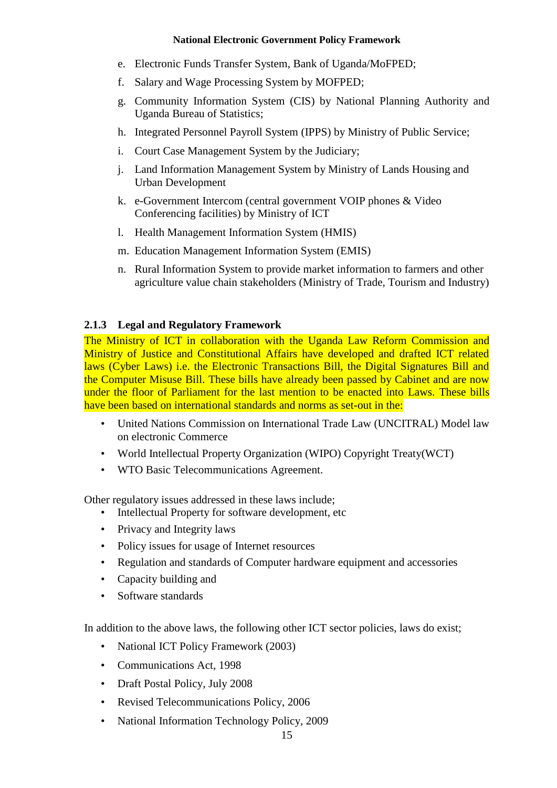- e. Electronic Funds Transfer System, Bank of Uganda/MoFPED;
- f. Salary and Wage Processing System by MOFPED;
- g. Community Information System (CIS) by National Planning Authority and Uganda Bureau of Statistics;
- h. Integrated Personnel Payroll System (IPPS) by Ministry of Public Service;
- i. Court Case Management System by the Judiciary;
- j. Land Information Management System by Ministry of Lands Housing and Urban Development
- k. e-Government Intercom (central government VOIP phones & Video Conferencing facilities) by Ministry of ICT
- l. Health Management Information System (HMIS)
- m. Education Management Information System (EMIS)
- n. Rural Information System to provide market information to farmers and other agriculture value chain stakeholders (Ministry of Trade, Tourism and Industry)

# <span id="page-17-0"></span>**2.1.3 Legal and Regulatory Framework**

The Ministry of ICT in collaboration with the Uganda Law Reform Commission and Ministry of Justice and Constitutional Affairs have developed and drafted ICT related laws (Cyber Laws) i.e. the Electronic Transactions Bill, the Digital Signatures Bill and the Computer Misuse Bill. These bills have already been passed by Cabinet and are now under the floor of Parliament for the last mention to be enacted into Laws. These bills have been based on international standards and norms as set-out in the:

- United Nations Commission on International Trade Law (UNCITRAL) Model law on electronic Commerce
- World Intellectual Property Organization (WIPO) Copyright Treaty(WCT)
- WTO Basic Telecommunications Agreement.

Other regulatory issues addressed in these laws include;

- Intellectual Property for software development, etc
- Privacy and Integrity laws
- Policy issues for usage of Internet resources
- Regulation and standards of Computer hardware equipment and accessories
- Capacity building and
- Software standards

In addition to the above laws, the following other ICT sector policies, laws do exist;

- National ICT Policy Framework (2003)
- Communications Act, 1998
- Draft Postal Policy, July 2008
- Revised Telecommunications Policy, 2006
- National Information Technology Policy, 2009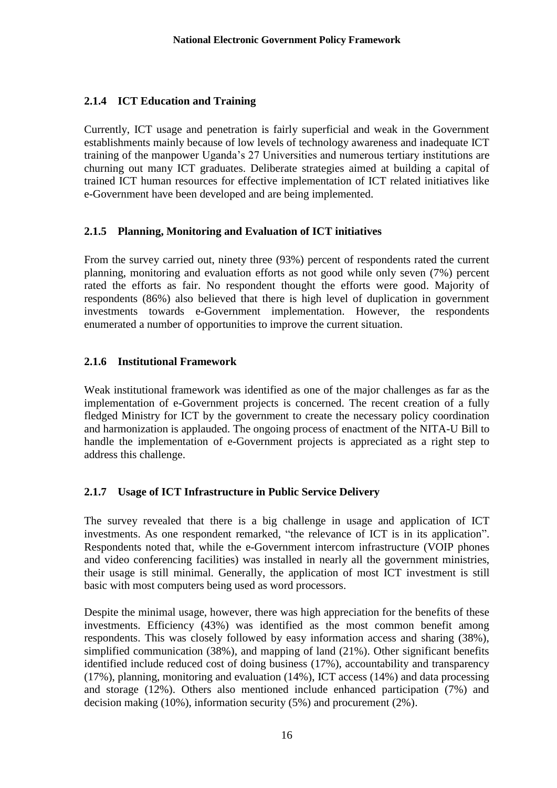# <span id="page-18-0"></span>**2.1.4 ICT Education and Training**

Currently, ICT usage and penetration is fairly superficial and weak in the Government establishments mainly because of low levels of technology awareness and inadequate ICT training of the manpower Uganda's 27 Universities and numerous tertiary institutions are churning out many ICT graduates. Deliberate strategies aimed at building a capital of trained ICT human resources for effective implementation of ICT related initiatives like e-Government have been developed and are being implemented.

# <span id="page-18-1"></span>**2.1.5 Planning, Monitoring and Evaluation of ICT initiatives**

From the survey carried out, ninety three (93%) percent of respondents rated the current planning, monitoring and evaluation efforts as not good while only seven (7%) percent rated the efforts as fair. No respondent thought the efforts were good. Majority of respondents (86%) also believed that there is high level of duplication in government investments towards e-Government implementation. However, the respondents enumerated a number of opportunities to improve the current situation.

# <span id="page-18-2"></span>**2.1.6 Institutional Framework**

Weak institutional framework was identified as one of the major challenges as far as the implementation of e-Government projects is concerned. The recent creation of a fully fledged Ministry for ICT by the government to create the necessary policy coordination and harmonization is applauded. The ongoing process of enactment of the NITA-U Bill to handle the implementation of e-Government projects is appreciated as a right step to address this challenge.

# <span id="page-18-3"></span>**2.1.7 Usage of ICT Infrastructure in Public Service Delivery**

The survey revealed that there is a big challenge in usage and application of ICT investments. As one respondent remarked, "the relevance of ICT is in its application". Respondents noted that, while the e-Government intercom infrastructure (VOIP phones and video conferencing facilities) was installed in nearly all the government ministries, their usage is still minimal. Generally, the application of most ICT investment is still basic with most computers being used as word processors.

Despite the minimal usage, however, there was high appreciation for the benefits of these investments. Efficiency (43%) was identified as the most common benefit among respondents. This was closely followed by easy information access and sharing (38%), simplified communication (38%), and mapping of land (21%). Other significant benefits identified include reduced cost of doing business (17%), accountability and transparency (17%), planning, monitoring and evaluation (14%), ICT access (14%) and data processing and storage (12%). Others also mentioned include enhanced participation (7%) and decision making (10%), information security (5%) and procurement (2%).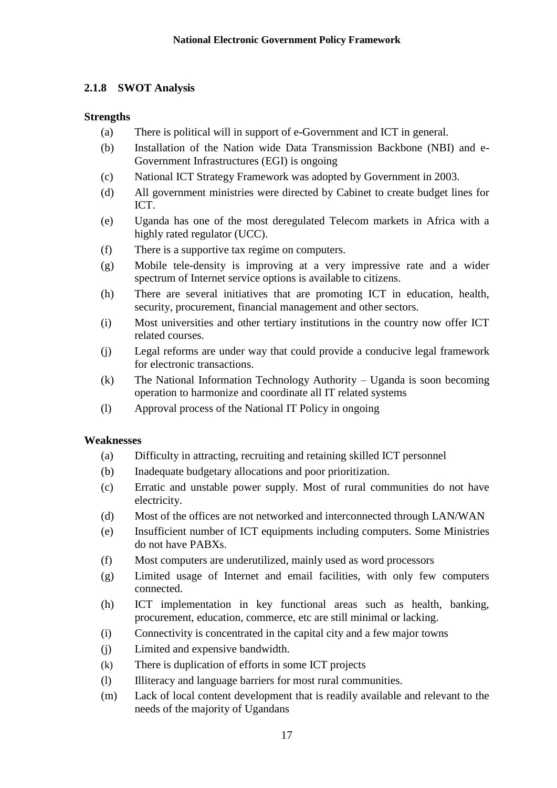# <span id="page-19-0"></span>**2.1.8 SWOT Analysis**

# **Strengths**

- (a) There is political will in support of e-Government and ICT in general.
- (b) Installation of the Nation wide Data Transmission Backbone (NBI) and e-Government Infrastructures (EGI) is ongoing
- (c) National ICT Strategy Framework was adopted by Government in 2003.
- (d) All government ministries were directed by Cabinet to create budget lines for ICT.
- (e) Uganda has one of the most deregulated Telecom markets in Africa with a highly rated regulator (UCC).
- (f) There is a supportive tax regime on computers.
- (g) Mobile tele-density is improving at a very impressive rate and a wider spectrum of Internet service options is available to citizens.
- (h) There are several initiatives that are promoting ICT in education, health, security, procurement, financial management and other sectors.
- (i) Most universities and other tertiary institutions in the country now offer ICT related courses.
- (j) Legal reforms are under way that could provide a conducive legal framework for electronic transactions.
- (k) The National Information Technology Authority Uganda is soon becoming operation to harmonize and coordinate all IT related systems
- (l) Approval process of the National IT Policy in ongoing

#### **Weaknesses**

- (a) Difficulty in attracting, recruiting and retaining skilled ICT personnel
- (b) Inadequate budgetary allocations and poor prioritization.
- (c) Erratic and unstable power supply. Most of rural communities do not have electricity.
- (d) Most of the offices are not networked and interconnected through LAN/WAN
- (e) Insufficient number of ICT equipments including computers. Some Ministries do not have PABXs.
- (f) Most computers are underutilized, mainly used as word processors
- (g) Limited usage of Internet and email facilities, with only few computers connected.
- (h) ICT implementation in key functional areas such as health, banking, procurement, education, commerce, etc are still minimal or lacking.
- (i) Connectivity is concentrated in the capital city and a few major towns
- (j) Limited and expensive bandwidth.
- (k) There is duplication of efforts in some ICT projects
- (l) Illiteracy and language barriers for most rural communities.
- (m) Lack of local content development that is readily available and relevant to the needs of the majority of Ugandans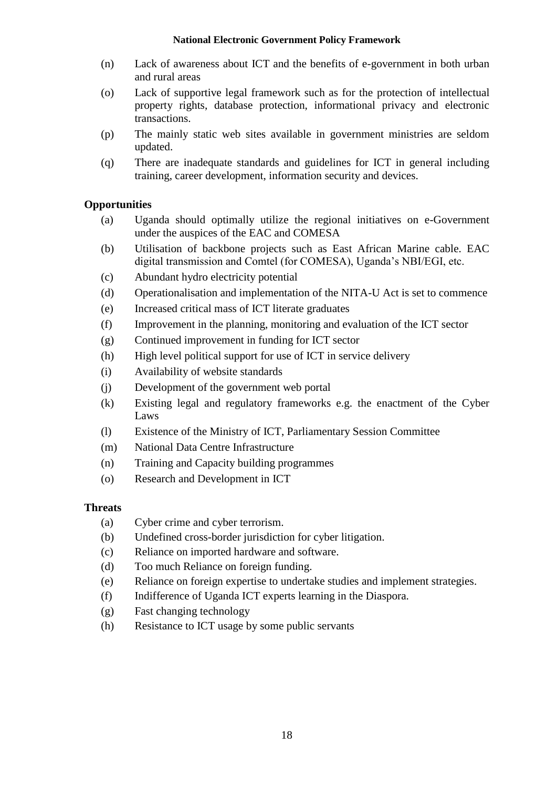- (n) Lack of awareness about ICT and the benefits of e-government in both urban and rural areas
- (o) Lack of supportive legal framework such as for the protection of intellectual property rights, database protection, informational privacy and electronic transactions.
- (p) The mainly static web sites available in government ministries are seldom updated.
- (q) There are inadequate standards and guidelines for ICT in general including training, career development, information security and devices.

# **Opportunities**

- (a) Uganda should optimally utilize the regional initiatives on e-Government under the auspices of the EAC and COMESA
- (b) Utilisation of backbone projects such as East African Marine cable. EAC digital transmission and Comtel (for COMESA), Uganda's NBI/EGI, etc.
- (c) Abundant hydro electricity potential
- (d) Operationalisation and implementation of the NITA-U Act is set to commence
- (e) Increased critical mass of ICT literate graduates
- (f) Improvement in the planning, monitoring and evaluation of the ICT sector
- (g) Continued improvement in funding for ICT sector
- (h) High level political support for use of ICT in service delivery
- (i) Availability of website standards
- (j) Development of the government web portal
- (k) Existing legal and regulatory frameworks e.g. the enactment of the Cyber Laws
- (l) Existence of the Ministry of ICT, Parliamentary Session Committee
- (m) National Data Centre Infrastructure
- (n) Training and Capacity building programmes
- (o) Research and Development in ICT

# **Threats**

- (a) Cyber crime and cyber terrorism.
- (b) Undefined cross-border jurisdiction for cyber litigation.
- (c) Reliance on imported hardware and software.
- (d) Too much Reliance on foreign funding.
- (e) Reliance on foreign expertise to undertake studies and implement strategies.
- (f) Indifference of Uganda ICT experts learning in the Diaspora.
- (g) Fast changing technology
- (h) Resistance to ICT usage by some public servants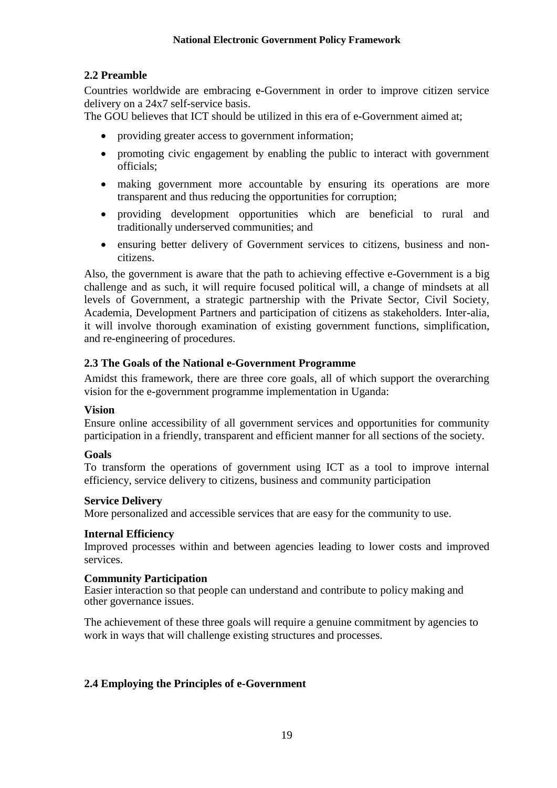# <span id="page-21-0"></span>**2.2 Preamble**

Countries worldwide are embracing e-Government in order to improve citizen service delivery on a 24x7 self-service basis.

The GOU believes that ICT should be utilized in this era of e-Government aimed at;

- providing greater access to government information;
- promoting civic engagement by enabling the public to interact with government officials;
- making government more accountable by ensuring its operations are more transparent and thus reducing the opportunities for corruption;
- providing development opportunities which are beneficial to rural and traditionally underserved communities; and
- ensuring better delivery of Government services to citizens, business and noncitizens.

Also, the government is aware that the path to achieving effective e-Government is a big challenge and as such, it will require focused political will, a change of mindsets at all levels of Government, a strategic partnership with the Private Sector, Civil Society, Academia, Development Partners and participation of citizens as stakeholders. Inter-alia, it will involve thorough examination of existing government functions, simplification, and re-engineering of procedures.

# <span id="page-21-1"></span>**2.3 The Goals of the National e-Government Programme**

Amidst this framework, there are three core goals, all of which support the overarching vision for the e-government programme implementation in Uganda:

#### **Vision**

Ensure online accessibility of all government services and opportunities for community participation in a friendly, transparent and efficient manner for all sections of the society.

#### **Goals**

To transform the operations of government using ICT as a tool to improve internal efficiency, service delivery to citizens, business and community participation

#### **Service Delivery**

More personalized and accessible services that are easy for the community to use.

#### **Internal Efficiency**

Improved processes within and between agencies leading to lower costs and improved services.

#### **Community Participation**

Easier interaction so that people can understand and contribute to policy making and other governance issues.

The achievement of these three goals will require a genuine commitment by agencies to work in ways that will challenge existing structures and processes.

# <span id="page-21-2"></span>**2.4 Employing the Principles of e-Government**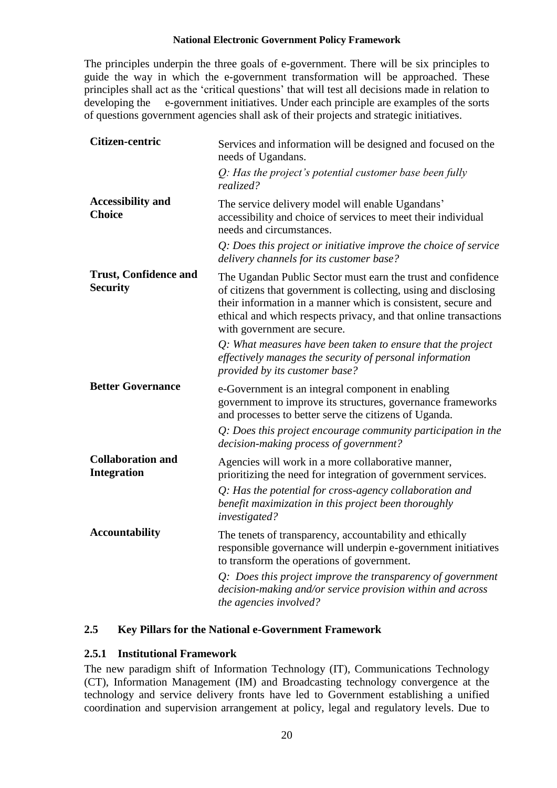The principles underpin the three goals of e-government. There will be six principles to guide the way in which the e-government transformation will be approached. These principles shall act as the 'critical questions' that will test all decisions made in relation to developing the e-government initiatives. Under each principle are examples of the sorts of questions government agencies shall ask of their projects and strategic initiatives.

| Citizen-centric                                 | Services and information will be designed and focused on the<br>needs of Ugandans.                                                                                                                                                                                                                  |  |  |  |  |
|-------------------------------------------------|-----------------------------------------------------------------------------------------------------------------------------------------------------------------------------------------------------------------------------------------------------------------------------------------------------|--|--|--|--|
|                                                 | $Q$ : Has the project's potential customer base been fully<br>realized?                                                                                                                                                                                                                             |  |  |  |  |
| <b>Accessibility and</b><br><b>Choice</b>       | The service delivery model will enable Ugandans'<br>accessibility and choice of services to meet their individual<br>needs and circumstances.                                                                                                                                                       |  |  |  |  |
|                                                 | Q: Does this project or initiative improve the choice of service<br>delivery channels for its customer base?                                                                                                                                                                                        |  |  |  |  |
| <b>Trust, Confidence and</b><br><b>Security</b> | The Ugandan Public Sector must earn the trust and confidence<br>of citizens that government is collecting, using and disclosing<br>their information in a manner which is consistent, secure and<br>ethical and which respects privacy, and that online transactions<br>with government are secure. |  |  |  |  |
|                                                 | $Q$ : What measures have been taken to ensure that the project<br>effectively manages the security of personal information<br>provided by its customer base?                                                                                                                                        |  |  |  |  |
| <b>Better Governance</b>                        | e-Government is an integral component in enabling<br>government to improve its structures, governance frameworks<br>and processes to better serve the citizens of Uganda.                                                                                                                           |  |  |  |  |
|                                                 | $Q$ : Does this project encourage community participation in the<br>decision-making process of government?                                                                                                                                                                                          |  |  |  |  |
| <b>Collaboration and</b><br><b>Integration</b>  | Agencies will work in a more collaborative manner,<br>prioritizing the need for integration of government services.<br>Q: Has the potential for cross-agency collaboration and<br>benefit maximization in this project been thoroughly<br>investigated?                                             |  |  |  |  |
| <b>Accountability</b>                           | The tenets of transparency, accountability and ethically<br>responsible governance will underpin e-government initiatives<br>to transform the operations of government.                                                                                                                             |  |  |  |  |
|                                                 | $Q$ : Does this project improve the transparency of government<br>decision-making and/or service provision within and across<br>the agencies involved?                                                                                                                                              |  |  |  |  |

# <span id="page-22-0"></span>**2.5 Key Pillars for the National e-Government Framework**

# <span id="page-22-1"></span>**2.5.1 Institutional Framework**

The new paradigm shift of Information Technology (IT), Communications Technology (CT), Information Management (IM) and Broadcasting technology convergence at the technology and service delivery fronts have led to Government establishing a unified coordination and supervision arrangement at policy, legal and regulatory levels. Due to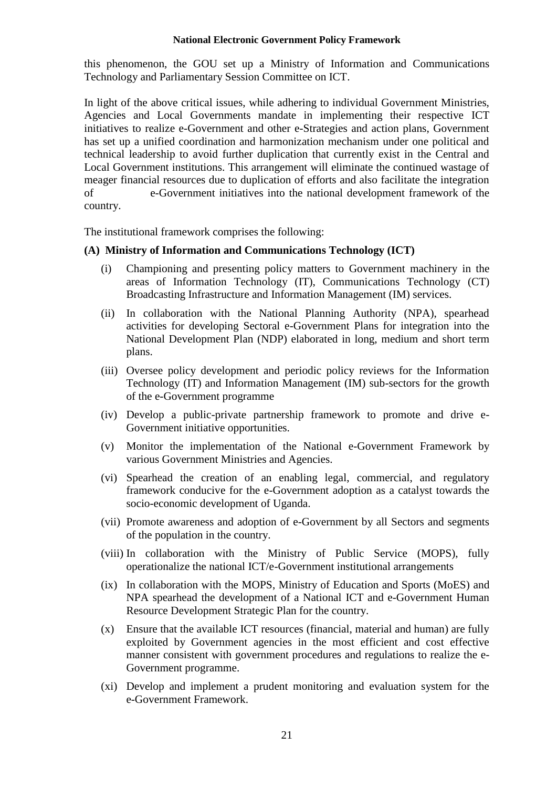this phenomenon, the GOU set up a Ministry of Information and Communications Technology and Parliamentary Session Committee on ICT.

In light of the above critical issues, while adhering to individual Government Ministries, Agencies and Local Governments mandate in implementing their respective ICT initiatives to realize e-Government and other e-Strategies and action plans, Government has set up a unified coordination and harmonization mechanism under one political and technical leadership to avoid further duplication that currently exist in the Central and Local Government institutions. This arrangement will eliminate the continued wastage of meager financial resources due to duplication of efforts and also facilitate the integration of e-Government initiatives into the national development framework of the country.

The institutional framework comprises the following:

#### **(A) Ministry of Information and Communications Technology (ICT)**

- (i) Championing and presenting policy matters to Government machinery in the areas of Information Technology (IT), Communications Technology (CT) Broadcasting Infrastructure and Information Management (IM) services.
- (ii) In collaboration with the National Planning Authority (NPA), spearhead activities for developing Sectoral e-Government Plans for integration into the National Development Plan (NDP) elaborated in long, medium and short term plans.
- (iii) Oversee policy development and periodic policy reviews for the Information Technology (IT) and Information Management (IM) sub-sectors for the growth of the e-Government programme
- (iv) Develop a public-private partnership framework to promote and drive e-Government initiative opportunities.
- (v) Monitor the implementation of the National e-Government Framework by various Government Ministries and Agencies.
- (vi) Spearhead the creation of an enabling legal, commercial, and regulatory framework conducive for the e-Government adoption as a catalyst towards the socio-economic development of Uganda.
- (vii) Promote awareness and adoption of e-Government by all Sectors and segments of the population in the country.
- (viii) In collaboration with the Ministry of Public Service (MOPS), fully operationalize the national ICT/e-Government institutional arrangements
- (ix) In collaboration with the MOPS, Ministry of Education and Sports (MoES) and NPA spearhead the development of a National ICT and e-Government Human Resource Development Strategic Plan for the country.
- (x) Ensure that the available ICT resources (financial, material and human) are fully exploited by Government agencies in the most efficient and cost effective manner consistent with government procedures and regulations to realize the e-Government programme.
- (xi) Develop and implement a prudent monitoring and evaluation system for the e-Government Framework.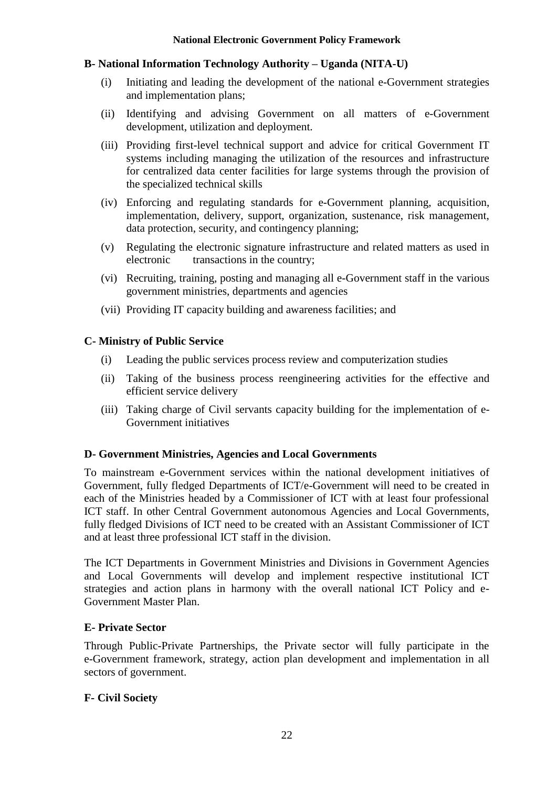#### **B- National Information Technology Authority – Uganda (NITA-U)**

- (i) Initiating and leading the development of the national e-Government strategies and implementation plans;
- (ii) Identifying and advising Government on all matters of e-Government development, utilization and deployment.
- (iii) Providing first-level technical support and advice for critical Government IT systems including managing the utilization of the resources and infrastructure for centralized data center facilities for large systems through the provision of the specialized technical skills
- (iv) Enforcing and regulating standards for e-Government planning, acquisition, implementation, delivery, support, organization, sustenance, risk management, data protection, security, and contingency planning;
- (v) Regulating the electronic signature infrastructure and related matters as used in electronic transactions in the country;
- (vi) Recruiting, training, posting and managing all e-Government staff in the various government ministries, departments and agencies
- (vii) Providing IT capacity building and awareness facilities; and

#### **C- Ministry of Public Service**

- (i) Leading the public services process review and computerization studies
- (ii) Taking of the business process reengineering activities for the effective and efficient service delivery
- (iii) Taking charge of Civil servants capacity building for the implementation of e-Government initiatives

# **D- Government Ministries, Agencies and Local Governments**

To mainstream e-Government services within the national development initiatives of Government, fully fledged Departments of ICT/e-Government will need to be created in each of the Ministries headed by a Commissioner of ICT with at least four professional ICT staff. In other Central Government autonomous Agencies and Local Governments, fully fledged Divisions of ICT need to be created with an Assistant Commissioner of ICT and at least three professional ICT staff in the division.

The ICT Departments in Government Ministries and Divisions in Government Agencies and Local Governments will develop and implement respective institutional ICT strategies and action plans in harmony with the overall national ICT Policy and e-Government Master Plan.

# **E- Private Sector**

Through Public-Private Partnerships, the Private sector will fully participate in the e-Government framework, strategy, action plan development and implementation in all sectors of government.

# **F- Civil Society**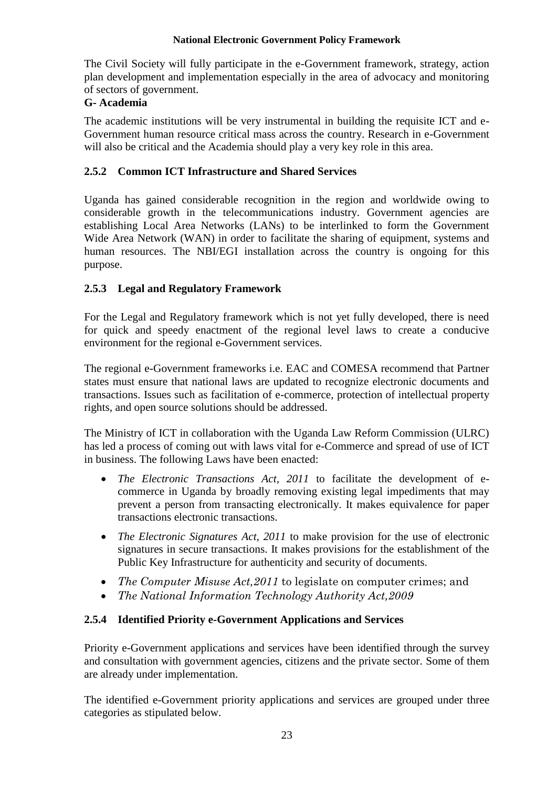The Civil Society will fully participate in the e-Government framework, strategy, action plan development and implementation especially in the area of advocacy and monitoring of sectors of government.

# **G- Academia**

The academic institutions will be very instrumental in building the requisite ICT and e-Government human resource critical mass across the country. Research in e-Government will also be critical and the Academia should play a very key role in this area.

# <span id="page-25-0"></span>**2.5.2 Common ICT Infrastructure and Shared Services**

Uganda has gained considerable recognition in the region and worldwide owing to considerable growth in the telecommunications industry. Government agencies are establishing Local Area Networks (LANs) to be interlinked to form the Government Wide Area Network (WAN) in order to facilitate the sharing of equipment, systems and human resources. The NBI/EGI installation across the country is ongoing for this purpose.

# <span id="page-25-1"></span>**2.5.3 Legal and Regulatory Framework**

For the Legal and Regulatory framework which is not yet fully developed, there is need for quick and speedy enactment of the regional level laws to create a conducive environment for the regional e-Government services.

The regional e-Government frameworks i.e. EAC and COMESA recommend that Partner states must ensure that national laws are updated to recognize electronic documents and transactions. Issues such as facilitation of e-commerce, protection of intellectual property rights, and open source solutions should be addressed.

The Ministry of ICT in collaboration with the Uganda Law Reform Commission (ULRC) has led a process of coming out with laws vital for e-Commerce and spread of use of ICT in business. The following Laws have been enacted:

- *The Electronic Transactions Act, 2011* to facilitate the development of ecommerce in Uganda by broadly removing existing legal impediments that may prevent a person from transacting electronically. It makes equivalence for paper transactions electronic transactions.
- *The Electronic Signatures Act, 2011* to make provision for the use of electronic signatures in secure transactions. It makes provisions for the establishment of the Public Key Infrastructure for authenticity and security of documents.
- *The Computer Misuse Act,2011* to legislate on computer crimes; and
- *The National Information Technology Authority Act,2009*

# <span id="page-25-2"></span>**2.5.4 Identified Priority e-Government Applications and Services**

Priority e-Government applications and services have been identified through the survey and consultation with government agencies, citizens and the private sector. Some of them are already under implementation.

The identified e-Government priority applications and services are grouped under three categories as stipulated below.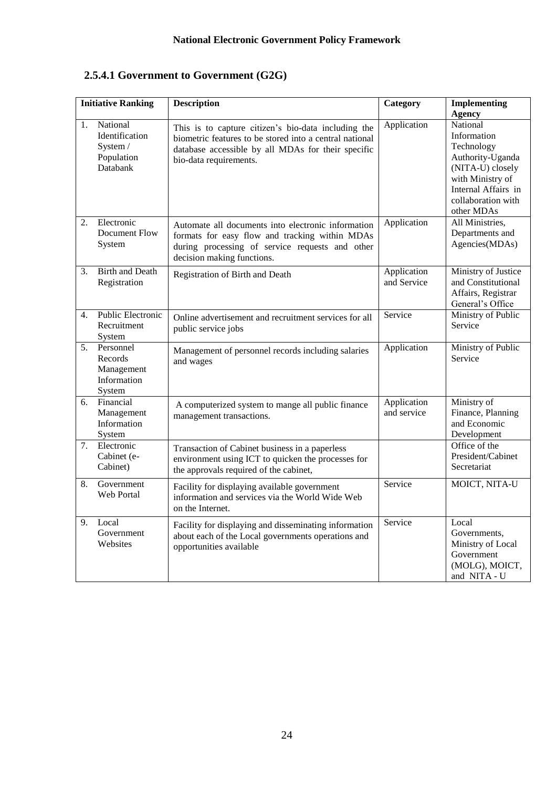# **2.5.4.1 Government to Government (G2G)**

| <b>Initiative Ranking</b> |                                                                  | <b>Description</b>                                                                                                                                                                             | <b>Category</b><br><b>Implementing</b><br><b>Agency</b> |                                                                                                                                                              |  |
|---------------------------|------------------------------------------------------------------|------------------------------------------------------------------------------------------------------------------------------------------------------------------------------------------------|---------------------------------------------------------|--------------------------------------------------------------------------------------------------------------------------------------------------------------|--|
| 1.                        | National<br>Identification<br>System /<br>Population<br>Databank | This is to capture citizen's bio-data including the<br>biometric features to be stored into a central national<br>database accessible by all MDAs for their specific<br>bio-data requirements. | Application                                             | National<br>Information<br>Technology<br>Authority-Uganda<br>(NITA-U) closely<br>with Ministry of<br>Internal Affairs in<br>collaboration with<br>other MDAs |  |
| 2.                        | Electronic<br>Document Flow<br>System                            | Automate all documents into electronic information<br>formats for easy flow and tracking within MDAs<br>during processing of service requests and other<br>decision making functions.          | Application                                             | All Ministries,<br>Departments and<br>Agencies(MDAs)                                                                                                         |  |
| 3.                        | <b>Birth and Death</b><br>Registration                           | Registration of Birth and Death                                                                                                                                                                | Application<br>and Service                              | Ministry of Justice<br>and Constitutional<br>Affairs, Registrar<br>General's Office                                                                          |  |
| 4.                        | <b>Public Electronic</b><br>Recruitment<br>System                | Online advertisement and recruitment services for all<br>public service jobs                                                                                                                   | Service                                                 | Ministry of Public<br>Service                                                                                                                                |  |
| 5 <sub>1</sub>            | Personnel<br>Records<br>Management<br>Information<br>System      | Management of personnel records including salaries<br>and wages                                                                                                                                | Application                                             | Ministry of Public<br>Service                                                                                                                                |  |
| 6.                        | Financial<br>Management<br>Information<br>System                 | A computerized system to mange all public finance<br>management transactions.                                                                                                                  | Application<br>and service                              | Ministry of<br>Finance, Planning<br>and Economic<br>Development                                                                                              |  |
| 7.                        | Electronic<br>Cabinet (e-<br>Cabinet)                            | Transaction of Cabinet business in a paperless<br>environment using ICT to quicken the processes for<br>the approvals required of the cabinet,                                                 |                                                         | Office of the<br>President/Cabinet<br>Secretariat                                                                                                            |  |
| 8.                        | Government<br>Web Portal                                         | Facility for displaying available government<br>information and services via the World Wide Web<br>on the Internet.                                                                            | Service                                                 | MOICT, NITA-U                                                                                                                                                |  |
| 9.                        | Local<br>Government<br>Websites                                  | Facility for displaying and disseminating information<br>about each of the Local governments operations and<br>opportunities available                                                         | Service                                                 | Local<br>Governments,<br>Ministry of Local<br>Government<br>(MOLG), MOICT,<br>and NITA - U                                                                   |  |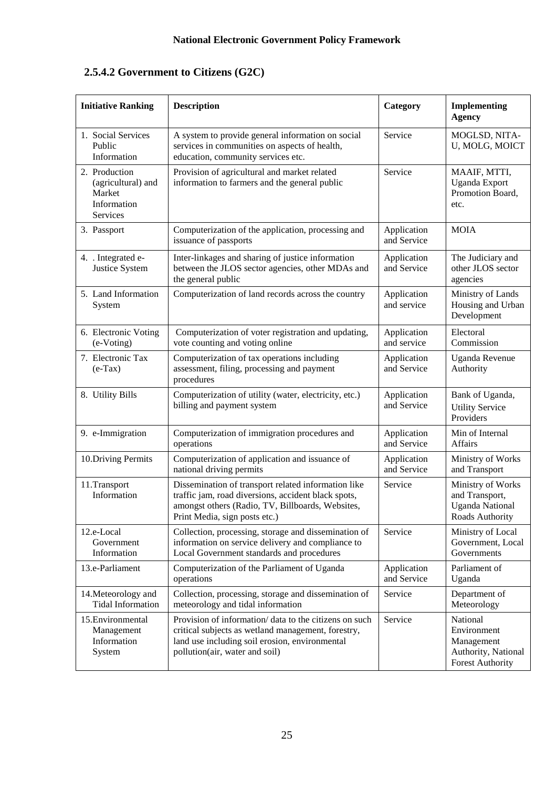# **2.5.4.2 Government to Citizens (G2C)**

| <b>Initiative Ranking</b>                                                | <b>Description</b>                                                                                                                                                                               | Category                   | <b>Implementing</b><br><b>Agency</b>                                                    |  |
|--------------------------------------------------------------------------|--------------------------------------------------------------------------------------------------------------------------------------------------------------------------------------------------|----------------------------|-----------------------------------------------------------------------------------------|--|
| 1. Social Services<br>Public<br>Information                              | A system to provide general information on social<br>services in communities on aspects of health,<br>education, community services etc.                                                         | Service                    | MOGLSD, NITA-<br>U, MOLG, MOICT                                                         |  |
| 2. Production<br>(agricultural) and<br>Market<br>Information<br>Services | Service<br>Provision of agricultural and market related<br>information to farmers and the general public                                                                                         |                            | MAAIF, MTTI,<br>Uganda Export<br>Promotion Board,<br>etc.                               |  |
| 3. Passport                                                              | Computerization of the application, processing and<br>issuance of passports                                                                                                                      | Application<br>and Service | <b>MOIA</b>                                                                             |  |
| 4. . Integrated e-<br>Justice System                                     | Inter-linkages and sharing of justice information<br>between the JLOS sector agencies, other MDAs and<br>the general public                                                                      | Application<br>and Service | The Judiciary and<br>other JLOS sector<br>agencies                                      |  |
| 5. Land Information<br>System                                            | Computerization of land records across the country                                                                                                                                               | Application<br>and service | Ministry of Lands<br>Housing and Urban<br>Development                                   |  |
| 6. Electronic Voting<br>(e-Voting)                                       | Computerization of voter registration and updating,<br>vote counting and voting online                                                                                                           | Application<br>and service | Electoral<br>Commission                                                                 |  |
| 7. Electronic Tax<br>$(e-Tax)$                                           | Computerization of tax operations including<br>assessment, filing, processing and payment<br>procedures                                                                                          | Application<br>and Service | <b>Uganda Revenue</b><br>Authority                                                      |  |
| 8. Utility Bills                                                         | Computerization of utility (water, electricity, etc.)<br>billing and payment system                                                                                                              | Application<br>and Service | Bank of Uganda,<br><b>Utility Service</b><br>Providers                                  |  |
| 9. e-Immigration                                                         | Computerization of immigration procedures and<br>operations                                                                                                                                      | Application<br>and Service | Min of Internal<br>Affairs                                                              |  |
| 10. Driving Permits                                                      | Computerization of application and issuance of<br>national driving permits                                                                                                                       | Application<br>and Service | Ministry of Works<br>and Transport                                                      |  |
| 11.Transport<br>Information                                              | Dissemination of transport related information like<br>traffic jam, road diversions, accident black spots,<br>amongst others (Radio, TV, Billboards, Websites,<br>Print Media, sign posts etc.)  | Service                    | Ministry of Works<br>and Transport,<br><b>Uganda National</b><br>Roads Authority        |  |
| 12.e-Local<br>Government<br>Information                                  | Collection, processing, storage and dissemination of<br>information on service delivery and compliance to<br>Local Government standards and procedures                                           | Service                    | Ministry of Local<br>Government, Local<br>Governments                                   |  |
| 13.e-Parliament                                                          | Computerization of the Parliament of Uganda<br>operations                                                                                                                                        | Application<br>and Service | Parliament of<br>Uganda                                                                 |  |
| 14. Meteorology and<br><b>Tidal Information</b>                          | Collection, processing, storage and dissemination of<br>meteorology and tidal information                                                                                                        | Service                    | Department of<br>Meteorology                                                            |  |
| 15. Environmental<br>Management<br>Information<br>System                 | Provision of information/ data to the citizens on such<br>critical subjects as wetland management, forestry,<br>land use including soil erosion, environmental<br>pollution(air, water and soil) | Service                    | National<br>Environment<br>Management<br>Authority, National<br><b>Forest Authority</b> |  |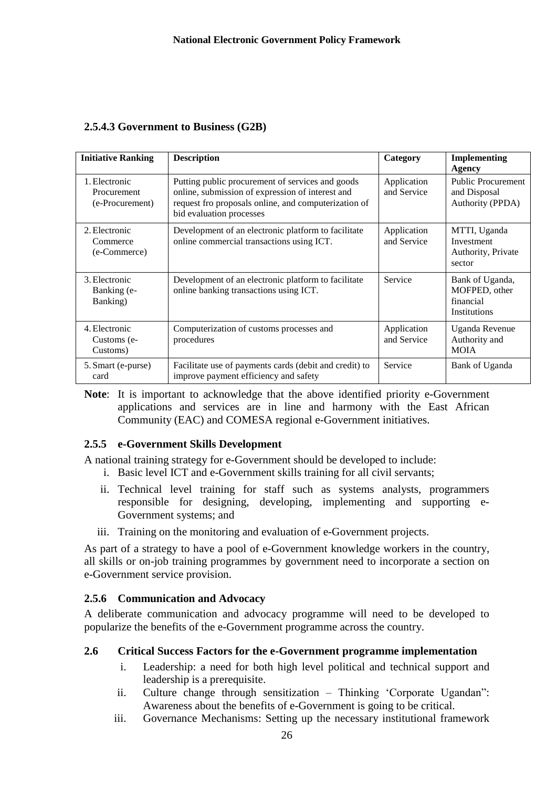| <b>Initiative Ranking</b>                       | <b>Description</b>                                                                                                                                                                       | Category                   | <b>Implementing</b><br>Agency                                 |  |  |  |  |
|-------------------------------------------------|------------------------------------------------------------------------------------------------------------------------------------------------------------------------------------------|----------------------------|---------------------------------------------------------------|--|--|--|--|
| 1. Electronic<br>Procurement<br>(e-Procurement) | Putting public procurement of services and goods<br>online, submission of expression of interest and<br>request fro proposals online, and computerization of<br>bid evaluation processes | Application<br>and Service | <b>Public Procurement</b><br>and Disposal<br>Authority (PPDA) |  |  |  |  |
| 2. Electronic<br>Commerce<br>(e-Commerce)       | Development of an electronic platform to facilitate<br>online commercial transactions using ICT.                                                                                         | Application<br>and Service | MTTI, Uganda<br>Investment<br>Authority, Private<br>sector    |  |  |  |  |
| 3. Electronic<br>Banking (e-<br>Banking)        | Development of an electronic platform to facilitate<br>online banking transactions using ICT.                                                                                            | Service                    | Bank of Uganda,<br>MOFPED, other<br>financial<br>Institutions |  |  |  |  |
| 4. Electronic<br>Customs (e-<br>Customs)        | Computerization of customs processes and<br>procedures                                                                                                                                   | Application<br>and Service | Uganda Revenue<br>Authority and<br><b>MOIA</b>                |  |  |  |  |
| 5. Smart (e-purse)<br>card                      | Facilitate use of payments cards (debit and credit) to<br>improve payment efficiency and safety                                                                                          | Service                    | Bank of Uganda                                                |  |  |  |  |

**Note**: It is important to acknowledge that the above identified priority e-Government applications and services are in line and harmony with the East African Community (EAC) and COMESA regional e-Government initiatives.

# <span id="page-28-0"></span>**2.5.5 e-Government Skills Development**

A national training strategy for e-Government should be developed to include:

- i. Basic level ICT and e-Government skills training for all civil servants;
- ii. Technical level training for staff such as systems analysts, programmers responsible for designing, developing, implementing and supporting e-Government systems; and
- iii. Training on the monitoring and evaluation of e-Government projects.

As part of a strategy to have a pool of e-Government knowledge workers in the country, all skills or on-job training programmes by government need to incorporate a section on e-Government service provision.

# <span id="page-28-1"></span>**2.5.6 Communication and Advocacy**

A deliberate communication and advocacy programme will need to be developed to popularize the benefits of the e-Government programme across the country.

# <span id="page-28-2"></span>**2.6 Critical Success Factors for the e-Government programme implementation**

- i. Leadership: a need for both high level political and technical support and leadership is a prerequisite.
- ii. Culture change through sensitization Thinking 'Corporate Ugandan": Awareness about the benefits of e-Government is going to be critical.
- iii. Governance Mechanisms: Setting up the necessary institutional framework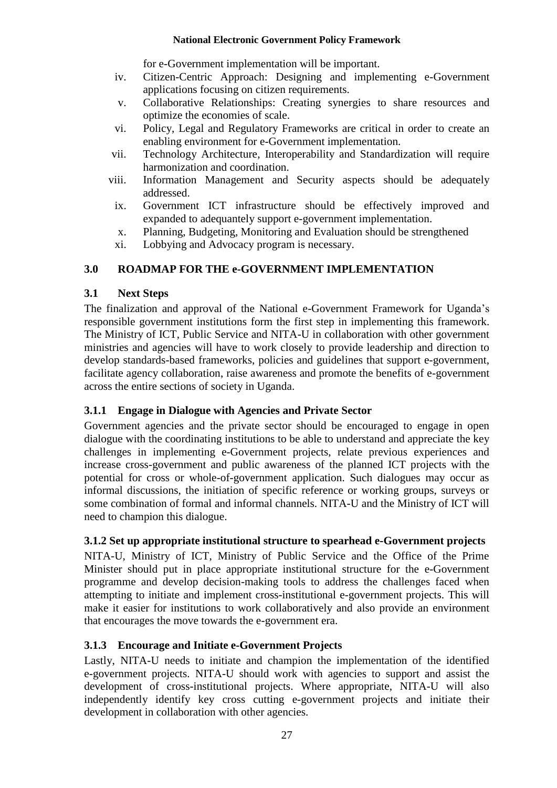for e-Government implementation will be important.

- iv. Citizen-Centric Approach: Designing and implementing e-Government applications focusing on citizen requirements.
- v. Collaborative Relationships: Creating synergies to share resources and optimize the economies of scale.
- vi. Policy, Legal and Regulatory Frameworks are critical in order to create an enabling environment for e-Government implementation.
- vii. Technology Architecture, Interoperability and Standardization will require harmonization and coordination.
- viii. Information Management and Security aspects should be adequately addressed.
- ix. Government ICT infrastructure should be effectively improved and expanded to adequantely support e-government implementation.
- x. Planning, Budgeting, Monitoring and Evaluation should be strengthened
- xi. Lobbying and Advocacy program is necessary.

# <span id="page-29-0"></span>**3.0 ROADMAP FOR THE e-GOVERNMENT IMPLEMENTATION**

# <span id="page-29-1"></span>**3.1 Next Steps**

The finalization and approval of the National e*-*Government Framework for Uganda's responsible government institutions form the first step in implementing this framework. The Ministry of ICT, Public Service and NITA-U in collaboration with other government ministries and agencies will have to work closely to provide leadership and direction to develop standards-based frameworks, policies and guidelines that support e-government, facilitate agency collaboration, raise awareness and promote the benefits of e-government across the entire sections of society in Uganda.

# <span id="page-29-2"></span>**3.1.1 Engage in Dialogue with Agencies and Private Sector**

Government agencies and the private sector should be encouraged to engage in open dialogue with the coordinating institutions to be able to understand and appreciate the key challenges in implementing e-Government projects, relate previous experiences and increase cross-government and public awareness of the planned ICT projects with the potential for cross or whole-of-government application. Such dialogues may occur as informal discussions, the initiation of specific reference or working groups, surveys or some combination of formal and informal channels. NITA-U and the Ministry of ICT will need to champion this dialogue.

# <span id="page-29-3"></span>**3.1.2 Set up appropriate institutional structure to spearhead e-Government projects**

NITA-U, Ministry of ICT, Ministry of Public Service and the Office of the Prime Minister should put in place appropriate institutional structure for the e-Government programme and develop decision-making tools to address the challenges faced when attempting to initiate and implement cross-institutional e-government projects. This will make it easier for institutions to work collaboratively and also provide an environment that encourages the move towards the e-government era.

# <span id="page-29-4"></span>**3.1.3 Encourage and Initiate e-Government Projects**

Lastly, NITA-U needs to initiate and champion the implementation of the identified e-government projects. NITA-U should work with agencies to support and assist the development of cross-institutional projects. Where appropriate, NITA-U will also independently identify key cross cutting e-government projects and initiate their development in collaboration with other agencies.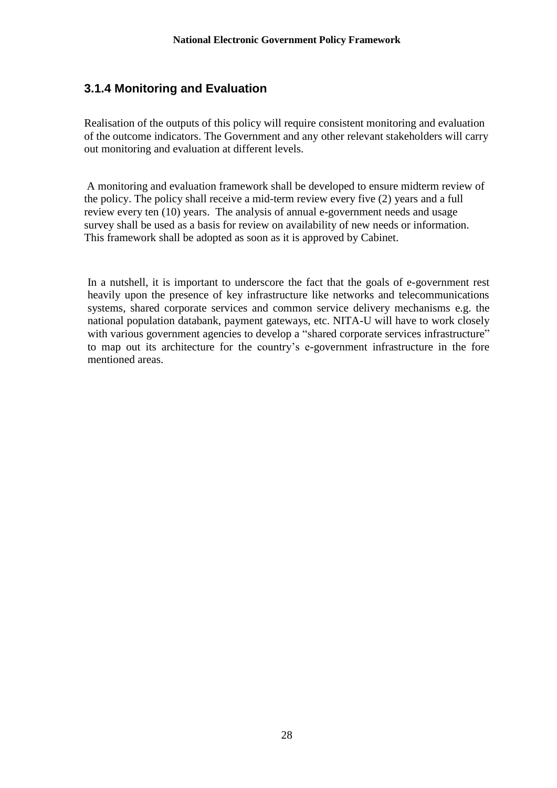# <span id="page-30-0"></span>**3.1.4 Monitoring and Evaluation**

Realisation of the outputs of this policy will require consistent monitoring and evaluation of the outcome indicators. The Government and any other relevant stakeholders will carry out monitoring and evaluation at different levels.

A monitoring and evaluation framework shall be developed to ensure midterm review of the policy. The policy shall receive a mid-term review every five (2) years and a full review every ten (10) years. The analysis of annual e-government needs and usage survey shall be used as a basis for review on availability of new needs or information. This framework shall be adopted as soon as it is approved by Cabinet.

In a nutshell, it is important to underscore the fact that the goals of e-government rest heavily upon the presence of key infrastructure like networks and telecommunications systems, shared corporate services and common service delivery mechanisms e.g. the national population databank, payment gateways, etc. NITA-U will have to work closely with various government agencies to develop a "shared corporate services infrastructure" to map out its architecture for the country's e-government infrastructure in the fore mentioned areas.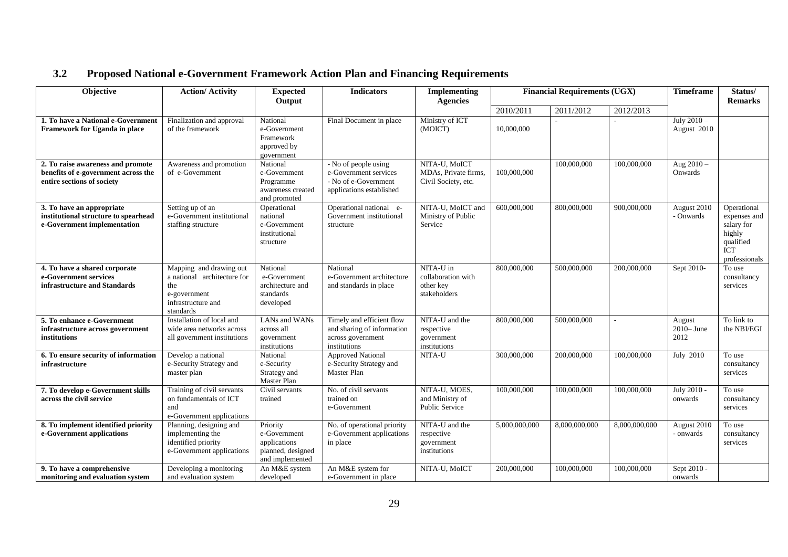# **3.2 Proposed National e-Government Framework Action Plan and Financing Requirements**

<span id="page-31-0"></span>

| Objective                                                                                              | <b>Action/ Activity</b>                                                                                          | <b>Expected</b><br>Output                                                        | <b>Indicators</b>                                                                                 | Implementing<br><b>Agencies</b>                              | <b>Financial Requirements (UGX)</b> |               | <b>Timeframe</b> | Status/<br><b>Remarks</b>       |                                                                                                 |
|--------------------------------------------------------------------------------------------------------|------------------------------------------------------------------------------------------------------------------|----------------------------------------------------------------------------------|---------------------------------------------------------------------------------------------------|--------------------------------------------------------------|-------------------------------------|---------------|------------------|---------------------------------|-------------------------------------------------------------------------------------------------|
|                                                                                                        |                                                                                                                  |                                                                                  |                                                                                                   |                                                              | 2010/2011                           | 2011/2012     | 2012/2013        |                                 |                                                                                                 |
| 1. To have a National e-Government<br><b>Framework for Uganda in place</b>                             | Finalization and approval<br>of the framework                                                                    | National<br>e-Government<br>Framework<br>approved by<br>government               | Final Document in place                                                                           | Ministry of ICT<br>(MOICT)                                   | 10,000,000                          |               |                  | July 2010-<br>August 2010       |                                                                                                 |
| 2. To raise awareness and promote<br>benefits of e-government across the<br>entire sections of society | Awareness and promotion<br>of e-Government                                                                       | National<br>e-Government<br>Programme<br>awareness created<br>and promoted       | - No of people using<br>e-Government services<br>- No of e-Government<br>applications established | NITA-U, MoICT<br>MDAs, Private firms,<br>Civil Society, etc. | 100,000,000                         | 100,000,000   | 100,000,000      | Aug $2010 -$<br>Onwards         |                                                                                                 |
| 3. To have an appropriate<br>institutional structure to spearhead<br>e-Government implementation       | Setting up of an<br>e-Government institutional<br>staffing structure                                             | Operational<br>national<br>e-Government<br>institutional<br>structure            | Operational national e-<br>Government institutional<br>structure                                  | NITA-U, MoICT and<br>Ministry of Public<br>Service           | 600,000,000                         | 800,000,000   | 900,000,000      | August 2010<br>- Onwards        | Operational<br>expenses and<br>salary for<br>highly<br>qualified<br><b>ICT</b><br>professionals |
| 4. To have a shared corporate<br>e-Government services<br>infrastructure and Standards                 | Mapping and drawing out<br>a national architecture for<br>the<br>e-government<br>infrastructure and<br>standards | National<br>e-Government<br>architecture and<br>standards<br>developed           | National<br>e-Government architecture<br>and standards in place                                   | NITA-U in<br>collaboration with<br>other key<br>stakeholders | 800,000,000                         | 500,000,000   | 200,000,000      | Sept 2010-                      | To use<br>consultancy<br>services                                                               |
| 5. To enhance e-Government<br>infrastructure across government<br>institutions                         | Installation of local and<br>wide area networks across<br>all government institutions                            | LANs and WANs<br>across all<br>government<br>institutions                        | Timely and efficient flow<br>and sharing of information<br>across government<br>institutions      | NITA-U and the<br>respective<br>government<br>institutions   | 800,000,000                         | 500,000,000   | $\mathcal{L}$    | August<br>$2010 - June$<br>2012 | To link to<br>the NBI/EGI                                                                       |
| 6. To ensure security of information<br>infrastructure                                                 | Develop a national<br>e-Security Strategy and<br>master plan                                                     | National<br>e-Security<br>Strategy and<br>Master Plan                            | <b>Approved National</b><br>e-Security Strategy and<br>Master Plan                                | NITA-U                                                       | 300,000,000                         | 200,000,000   | 100,000,000      | July 2010                       | To use<br>consultancy<br>services                                                               |
| 7. To develop e-Government skills<br>across the civil service                                          | Training of civil servants<br>on fundamentals of ICT<br>and<br>e-Government applications                         | Civil servants<br>trained                                                        | No. of civil servants<br>trained on<br>e-Government                                               | NITA-U, MOES,<br>and Ministry of<br><b>Public Service</b>    | 100,000,000                         | 100,000,000   | 100,000,000      | July 2010 -<br>onwards          | To use<br>consultancy<br>services                                                               |
| 8. To implement identified priority<br>e-Government applications                                       | Planning, designing and<br>implementing the<br>identified priority<br>e-Government applications                  | Priority<br>e-Government<br>applications<br>planned, designed<br>and implemented | No. of operational priority<br>e-Government applications<br>in place                              | NITA-U and the<br>respective<br>government<br>institutions   | 5,000,000,000                       | 8,000,000,000 | 8,000,000,000    | August 2010<br>- onwards        | To use<br>consultancy<br>services                                                               |
| 9. To have a comprehensive<br>monitoring and evaluation system                                         | Developing a monitoring<br>and evaluation system                                                                 | An M&E system<br>developed                                                       | An M&E system for<br>e-Government in place                                                        | NITA-U, MoICT                                                | 200,000,000                         | 100,000,000   | 100,000,000      | Sept 2010 -<br>onwards          |                                                                                                 |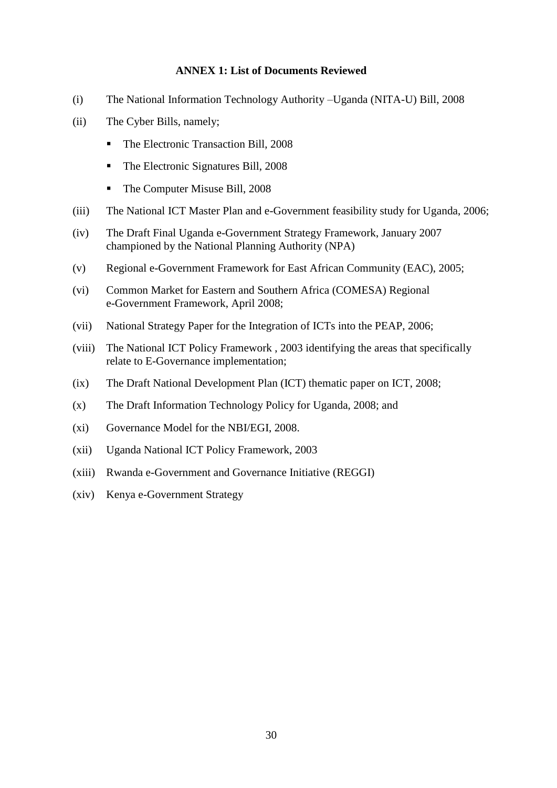#### **ANNEX 1: List of Documents Reviewed**

- <span id="page-32-0"></span>(i) The National Information Technology Authority –Uganda (NITA-U) Bill, 2008
- (ii) The Cyber Bills, namely;
	- The Electronic Transaction Bill, 2008
	- The Electronic Signatures Bill, 2008
	- The Computer Misuse Bill, 2008
- (iii) The National ICT Master Plan and e-Government feasibility study for Uganda, 2006;
- (iv) The Draft Final Uganda e-Government Strategy Framework, January 2007 championed by the National Planning Authority (NPA)
- (v) Regional e-Government Framework for East African Community (EAC), 2005;
- (vi) Common Market for Eastern and Southern Africa (COMESA) Regional e-Government Framework, April 2008;
- (vii) National Strategy Paper for the Integration of ICTs into the PEAP, 2006;
- (viii) The National ICT Policy Framework , 2003 identifying the areas that specifically relate to E-Governance implementation;
- (ix) The Draft National Development Plan (ICT) thematic paper on ICT, 2008;
- (x) The Draft Information Technology Policy for Uganda, 2008; and
- (xi) Governance Model for the NBI/EGI, 2008.
- (xii) Uganda National ICT Policy Framework, 2003
- (xiii) Rwanda e-Government and Governance Initiative (REGGI)
- (xiv) Kenya e-Government Strategy